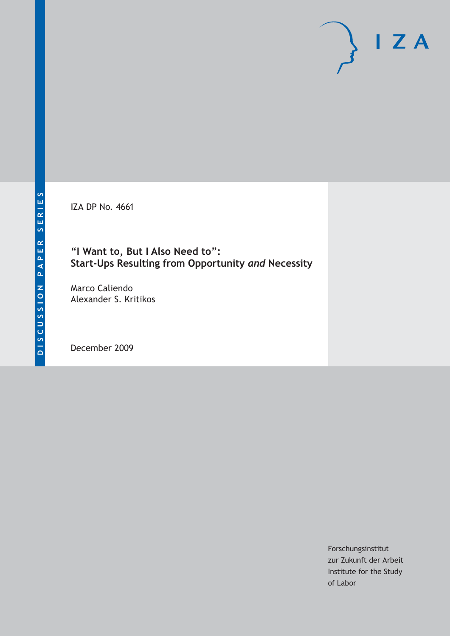IZA DP No. 4661

# **"I Want to, But I Also Need to": Start-Ups Resulting from Opportunity** *and* **Necessity**

Marco Caliendo Alexander S. Kritikos

December 2009

Forschungsinstitut zur Zukunft der Arbeit Institute for the Study of Labor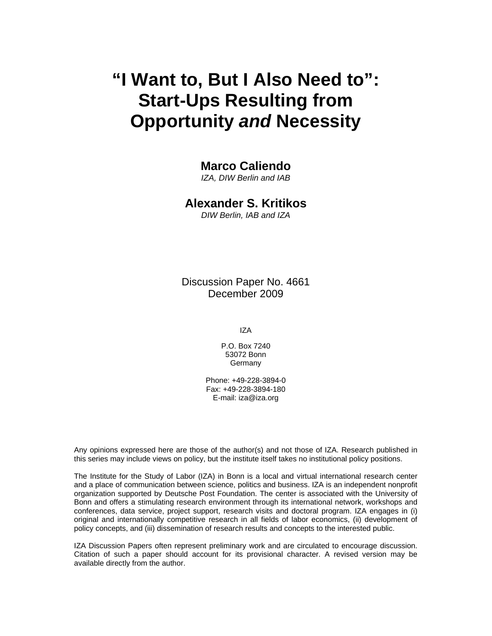# **"I Want to, But I Also Need to": Start-Ups Resulting from Opportunity** *and* **Necessity**

# **Marco Caliendo**

*IZA, DIW Berlin and IAB* 

# **Alexander S. Kritikos**

*DIW Berlin, IAB and IZA* 

Discussion Paper No. 4661 December 2009

IZA

P.O. Box 7240 53072 Bonn **Germany** 

Phone: +49-228-3894-0 Fax: +49-228-3894-180 E-mail: iza@iza.org

Any opinions expressed here are those of the author(s) and not those of IZA. Research published in this series may include views on policy, but the institute itself takes no institutional policy positions.

The Institute for the Study of Labor (IZA) in Bonn is a local and virtual international research center and a place of communication between science, politics and business. IZA is an independent nonprofit organization supported by Deutsche Post Foundation. The center is associated with the University of Bonn and offers a stimulating research environment through its international network, workshops and conferences, data service, project support, research visits and doctoral program. IZA engages in (i) original and internationally competitive research in all fields of labor economics, (ii) development of policy concepts, and (iii) dissemination of research results and concepts to the interested public.

IZA Discussion Papers often represent preliminary work and are circulated to encourage discussion. Citation of such a paper should account for its provisional character. A revised version may be available directly from the author.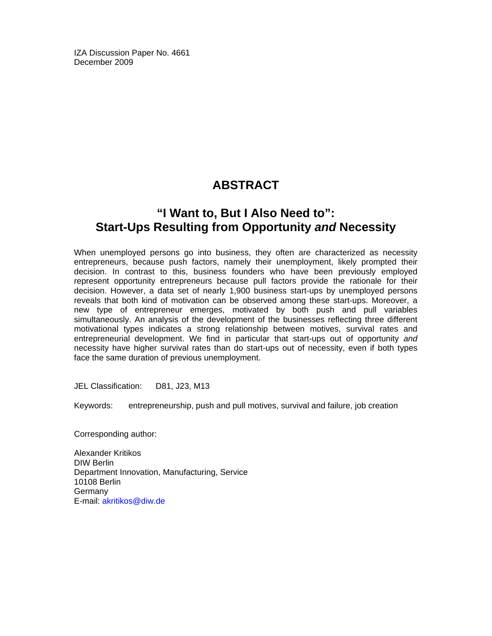IZA Discussion Paper No. 4661 December 2009

# **ABSTRACT**

# **"I Want to, But I Also Need to": Start-Ups Resulting from Opportunity** *and* **Necessity**

When unemployed persons go into business, they often are characterized as necessity entrepreneurs, because push factors, namely their unemployment, likely prompted their decision. In contrast to this, business founders who have been previously employed represent opportunity entrepreneurs because pull factors provide the rationale for their decision. However, a data set of nearly 1,900 business start-ups by unemployed persons reveals that both kind of motivation can be observed among these start-ups. Moreover, a new type of entrepreneur emerges, motivated by both push and pull variables simultaneously. An analysis of the development of the businesses reflecting three different motivational types indicates a strong relationship between motives, survival rates and entrepreneurial development. We find in particular that start-ups out of opportunity *and* necessity have higher survival rates than do start-ups out of necessity, even if both types face the same duration of previous unemployment.

JEL Classification: D81, J23, M13

Keywords: entrepreneurship, push and pull motives, survival and failure, job creation

Corresponding author:

Alexander Kritikos DIW Berlin Department Innovation, Manufacturing, Service 10108 Berlin **Germany** E-mail: akritikos@diw.de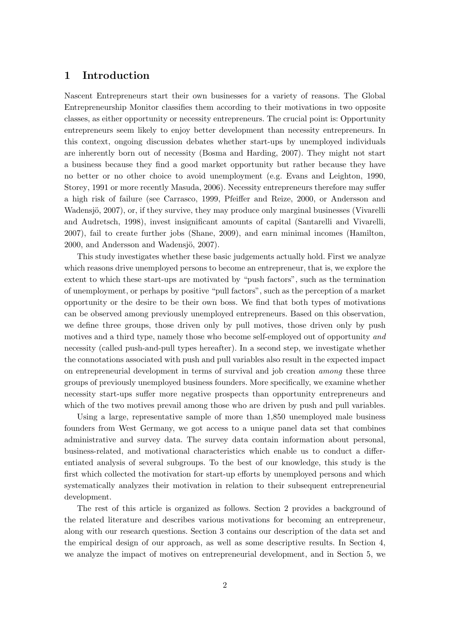### 1 Introduction

Nascent Entrepreneurs start their own businesses for a variety of reasons. The Global Entrepreneurship Monitor classifies them according to their motivations in two opposite classes, as either opportunity or necessity entrepreneurs. The crucial point is: Opportunity entrepreneurs seem likely to enjoy better development than necessity entrepreneurs. In this context, ongoing discussion debates whether start-ups by unemployed individuals are inherently born out of necessity (Bosma and Harding, 2007). They might not start a business because they find a good market opportunity but rather because they have no better or no other choice to avoid unemployment (e.g. Evans and Leighton, 1990, Storey, 1991 or more recently Masuda, 2006). Necessity entrepreneurs therefore may suffer a high risk of failure (see Carrasco, 1999, Pfeiffer and Reize, 2000, or Andersson and Wadensjö, 2007), or, if they survive, they may produce only marginal businesses (Vivarelli and Audretsch, 1998), invest insignificant amounts of capital (Santarelli and Vivarelli, 2007), fail to create further jobs (Shane, 2009), and earn minimal incomes (Hamilton, 2000, and Andersson and Wadensjö, 2007).

This study investigates whether these basic judgements actually hold. First we analyze which reasons drive unemployed persons to become an entrepreneur, that is, we explore the extent to which these start-ups are motivated by "push factors", such as the termination of unemployment, or perhaps by positive "pull factors", such as the perception of a market opportunity or the desire to be their own boss. We find that both types of motivations can be observed among previously unemployed entrepreneurs. Based on this observation, we define three groups, those driven only by pull motives, those driven only by push motives and a third type, namely those who become self-employed out of opportunity and necessity (called push-and-pull types hereafter). In a second step, we investigate whether the connotations associated with push and pull variables also result in the expected impact on entrepreneurial development in terms of survival and job creation among these three groups of previously unemployed business founders. More specifically, we examine whether necessity start-ups suffer more negative prospects than opportunity entrepreneurs and which of the two motives prevail among those who are driven by push and pull variables.

Using a large, representative sample of more than 1,850 unemployed male business founders from West Germany, we got access to a unique panel data set that combines administrative and survey data. The survey data contain information about personal, business-related, and motivational characteristics which enable us to conduct a differentiated analysis of several subgroups. To the best of our knowledge, this study is the first which collected the motivation for start-up efforts by unemployed persons and which systematically analyzes their motivation in relation to their subsequent entrepreneurial development.

The rest of this article is organized as follows. Section 2 provides a background of the related literature and describes various motivations for becoming an entrepreneur, along with our research questions. Section 3 contains our description of the data set and the empirical design of our approach, as well as some descriptive results. In Section 4, we analyze the impact of motives on entrepreneurial development, and in Section 5, we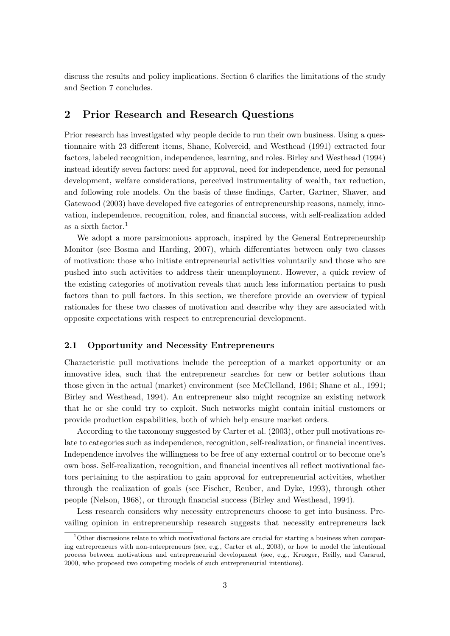discuss the results and policy implications. Section 6 clarifies the limitations of the study and Section 7 concludes.

# 2 Prior Research and Research Questions

Prior research has investigated why people decide to run their own business. Using a questionnaire with 23 different items, Shane, Kolvereid, and Westhead (1991) extracted four factors, labeled recognition, independence, learning, and roles. Birley and Westhead (1994) instead identify seven factors: need for approval, need for independence, need for personal development, welfare considerations, perceived instrumentality of wealth, tax reduction, and following role models. On the basis of these findings, Carter, Gartner, Shaver, and Gatewood (2003) have developed five categories of entrepreneurship reasons, namely, innovation, independence, recognition, roles, and financial success, with self-realization added as a sixth factor.<sup>1</sup>

We adopt a more parsimonious approach, inspired by the General Entrepreneurship Monitor (see Bosma and Harding, 2007), which differentiates between only two classes of motivation: those who initiate entrepreneurial activities voluntarily and those who are pushed into such activities to address their unemployment. However, a quick review of the existing categories of motivation reveals that much less information pertains to push factors than to pull factors. In this section, we therefore provide an overview of typical rationales for these two classes of motivation and describe why they are associated with opposite expectations with respect to entrepreneurial development.

#### 2.1 Opportunity and Necessity Entrepreneurs

Characteristic pull motivations include the perception of a market opportunity or an innovative idea, such that the entrepreneur searches for new or better solutions than those given in the actual (market) environment (see McClelland, 1961; Shane et al., 1991; Birley and Westhead, 1994). An entrepreneur also might recognize an existing network that he or she could try to exploit. Such networks might contain initial customers or provide production capabilities, both of which help ensure market orders.

According to the taxonomy suggested by Carter et al. (2003), other pull motivations relate to categories such as independence, recognition, self-realization, or financial incentives. Independence involves the willingness to be free of any external control or to become one's own boss. Self-realization, recognition, and financial incentives all reflect motivational factors pertaining to the aspiration to gain approval for entrepreneurial activities, whether through the realization of goals (see Fischer, Reuber, and Dyke, 1993), through other people (Nelson, 1968), or through financial success (Birley and Westhead, 1994).

Less research considers why necessity entrepreneurs choose to get into business. Prevailing opinion in entrepreneurship research suggests that necessity entrepreneurs lack

 $1$ Other discussions relate to which motivational factors are crucial for starting a business when comparing entrepreneurs with non-entrepreneurs (see, e.g., Carter et al., 2003), or how to model the intentional process between motivations and entrepreneurial development (see, e.g., Krueger, Reilly, and Carsrud, 2000, who proposed two competing models of such entrepreneurial intentions).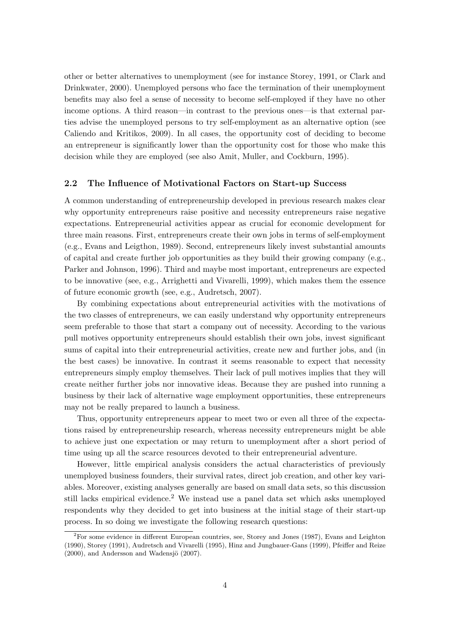other or better alternatives to unemployment (see for instance Storey, 1991, or Clark and Drinkwater, 2000). Unemployed persons who face the termination of their unemployment benefits may also feel a sense of necessity to become self-employed if they have no other income options. A third reason—in contrast to the previous ones—is that external parties advise the unemployed persons to try self-employment as an alternative option (see Caliendo and Kritikos, 2009). In all cases, the opportunity cost of deciding to become an entrepreneur is significantly lower than the opportunity cost for those who make this decision while they are employed (see also Amit, Muller, and Cockburn, 1995).

#### 2.2 The Influence of Motivational Factors on Start-up Success

A common understanding of entrepreneurship developed in previous research makes clear why opportunity entrepreneurs raise positive and necessity entrepreneurs raise negative expectations. Entrepreneurial activities appear as crucial for economic development for three main reasons. First, entrepreneurs create their own jobs in terms of self-employment (e.g., Evans and Leigthon, 1989). Second, entrepreneurs likely invest substantial amounts of capital and create further job opportunities as they build their growing company (e.g., Parker and Johnson, 1996). Third and maybe most important, entrepreneurs are expected to be innovative (see, e.g., Arrighetti and Vivarelli, 1999), which makes them the essence of future economic growth (see, e.g., Audretsch, 2007).

By combining expectations about entrepreneurial activities with the motivations of the two classes of entrepreneurs, we can easily understand why opportunity entrepreneurs seem preferable to those that start a company out of necessity. According to the various pull motives opportunity entrepreneurs should establish their own jobs, invest significant sums of capital into their entrepreneurial activities, create new and further jobs, and (in the best cases) be innovative. In contrast it seems reasonable to expect that necessity entrepreneurs simply employ themselves. Their lack of pull motives implies that they will create neither further jobs nor innovative ideas. Because they are pushed into running a business by their lack of alternative wage employment opportunities, these entrepreneurs may not be really prepared to launch a business.

Thus, opportunity entrepreneurs appear to meet two or even all three of the expectations raised by entrepreneurship research, whereas necessity entrepreneurs might be able to achieve just one expectation or may return to unemployment after a short period of time using up all the scarce resources devoted to their entrepreneurial adventure.

However, little empirical analysis considers the actual characteristics of previously unemployed business founders, their survival rates, direct job creation, and other key variables. Moreover, existing analyses generally are based on small data sets, so this discussion still lacks empirical evidence.<sup>2</sup> We instead use a panel data set which asks unemployed respondents why they decided to get into business at the initial stage of their start-up process. In so doing we investigate the following research questions:

<sup>2</sup>For some evidence in different European countries, see, Storey and Jones (1987), Evans and Leighton (1990), Storey (1991), Audretsch and Vivarelli (1995), Hinz and Jungbauer-Gans (1999), Pfeiffer and Reize  $(2000)$ , and Andersson and Wadensjö  $(2007)$ .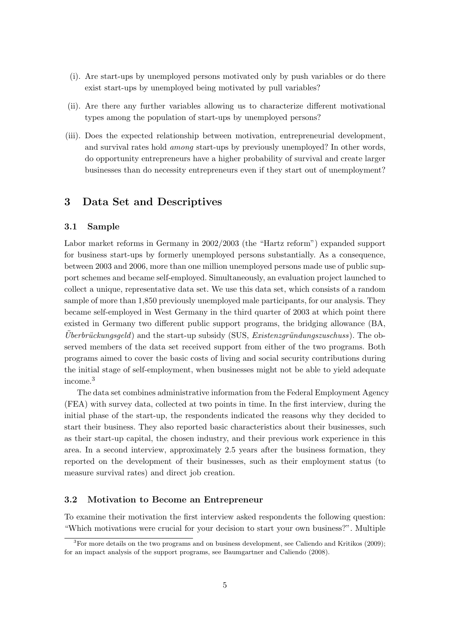- (i). Are start-ups by unemployed persons motivated only by push variables or do there exist start-ups by unemployed being motivated by pull variables?
- (ii). Are there any further variables allowing us to characterize different motivational types among the population of start-ups by unemployed persons?
- (iii). Does the expected relationship between motivation, entrepreneurial development, and survival rates hold among start-ups by previously unemployed? In other words, do opportunity entrepreneurs have a higher probability of survival and create larger businesses than do necessity entrepreneurs even if they start out of unemployment?

# 3 Data Set and Descriptives

#### 3.1 Sample

Labor market reforms in Germany in 2002/2003 (the "Hartz reform") expanded support for business start-ups by formerly unemployed persons substantially. As a consequence, between 2003 and 2006, more than one million unemployed persons made use of public support schemes and became self-employed. Simultaneously, an evaluation project launched to collect a unique, representative data set. We use this data set, which consists of a random sample of more than 1,850 previously unemployed male participants, for our analysis. They became self-employed in West Germany in the third quarter of 2003 at which point there existed in Germany two different public support programs, the bridging allowance (BA,  $Überbrückungsgeld$  and the start-up subsidy (SUS, *Existenzgründungszuschuss*). The observed members of the data set received support from either of the two programs. Both programs aimed to cover the basic costs of living and social security contributions during the initial stage of self-employment, when businesses might not be able to yield adequate income.<sup>3</sup>

The data set combines administrative information from the Federal Employment Agency (FEA) with survey data, collected at two points in time. In the first interview, during the initial phase of the start-up, the respondents indicated the reasons why they decided to start their business. They also reported basic characteristics about their businesses, such as their start-up capital, the chosen industry, and their previous work experience in this area. In a second interview, approximately 2.5 years after the business formation, they reported on the development of their businesses, such as their employment status (to measure survival rates) and direct job creation.

#### 3.2 Motivation to Become an Entrepreneur

To examine their motivation the first interview asked respondents the following question: "Which motivations were crucial for your decision to start your own business?". Multiple

 ${}^{3}$  For more details on the two programs and on business development, see Caliendo and Kritikos (2009); for an impact analysis of the support programs, see Baumgartner and Caliendo (2008).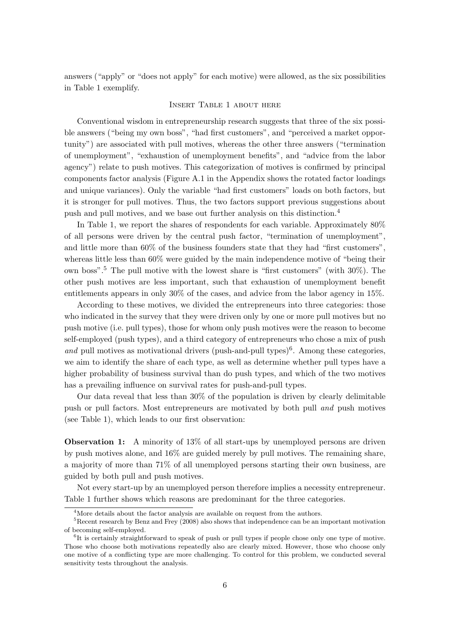answers ("apply" or "does not apply" for each motive) were allowed, as the six possibilities in Table 1 exemplify.

#### Insert Table 1 about here

Conventional wisdom in entrepreneurship research suggests that three of the six possible answers ("being my own boss", "had first customers", and "perceived a market opportunity") are associated with pull motives, whereas the other three answers ("termination of unemployment", "exhaustion of unemployment benefits", and "advice from the labor agency") relate to push motives. This categorization of motives is confirmed by principal components factor analysis (Figure A.1 in the Appendix shows the rotated factor loadings and unique variances). Only the variable "had first customers" loads on both factors, but it is stronger for pull motives. Thus, the two factors support previous suggestions about push and pull motives, and we base out further analysis on this distinction.<sup>4</sup>

In Table 1, we report the shares of respondents for each variable. Approximately 80% of all persons were driven by the central push factor, "termination of unemployment", and little more than 60% of the business founders state that they had "first customers", whereas little less than 60% were guided by the main independence motive of "being their own boss".<sup>5</sup> The pull motive with the lowest share is "first customers" (with 30%). The other push motives are less important, such that exhaustion of unemployment benefit entitlements appears in only 30% of the cases, and advice from the labor agency in 15%.

According to these motives, we divided the entrepreneurs into three categories: those who indicated in the survey that they were driven only by one or more pull motives but no push motive (i.e. pull types), those for whom only push motives were the reason to become self-employed (push types), and a third category of entrepreneurs who chose a mix of push and pull motives as motivational drivers (push-and-pull types)<sup>6</sup>. Among these categories, we aim to identify the share of each type, as well as determine whether pull types have a higher probability of business survival than do push types, and which of the two motives has a prevailing influence on survival rates for push-and-pull types.

Our data reveal that less than 30% of the population is driven by clearly delimitable push or pull factors. Most entrepreneurs are motivated by both pull and push motives (see Table 1), which leads to our first observation:

Observation 1: A minority of 13% of all start-ups by unemployed persons are driven by push motives alone, and 16% are guided merely by pull motives. The remaining share, a majority of more than 71% of all unemployed persons starting their own business, are guided by both pull and push motives.

Not every start-up by an unemployed person therefore implies a necessity entrepreneur. Table 1 further shows which reasons are predominant for the three categories.

 $4$ More details about the factor analysis are available on request from the authors.

<sup>5</sup>Recent research by Benz and Frey (2008) also shows that independence can be an important motivation of becoming self-employed.

<sup>6</sup> It is certainly straightforward to speak of push or pull types if people chose only one type of motive. Those who choose both motivations repeatedly also are clearly mixed. However, those who choose only one motive of a conflicting type are more challenging. To control for this problem, we conducted several sensitivity tests throughout the analysis.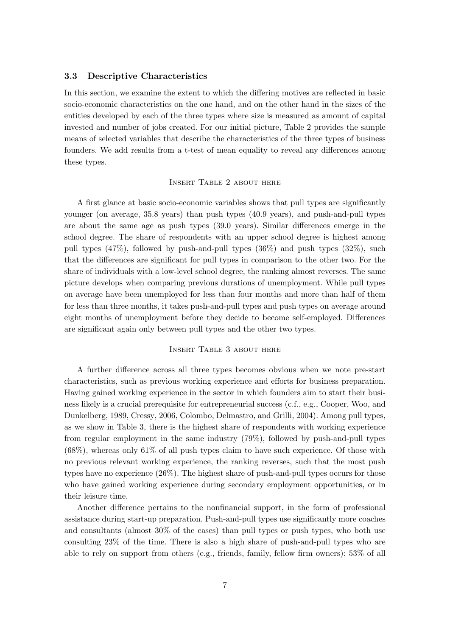#### 3.3 Descriptive Characteristics

In this section, we examine the extent to which the differing motives are reflected in basic socio-economic characteristics on the one hand, and on the other hand in the sizes of the entities developed by each of the three types where size is measured as amount of capital invested and number of jobs created. For our initial picture, Table 2 provides the sample means of selected variables that describe the characteristics of the three types of business founders. We add results from a t-test of mean equality to reveal any differences among these types.

#### Insert Table 2 about here

A first glance at basic socio-economic variables shows that pull types are significantly younger (on average, 35.8 years) than push types (40.9 years), and push-and-pull types are about the same age as push types (39.0 years). Similar differences emerge in the school degree. The share of respondents with an upper school degree is highest among pull types (47%), followed by push-and-pull types (36%) and push types (32%), such that the differences are significant for pull types in comparison to the other two. For the share of individuals with a low-level school degree, the ranking almost reverses. The same picture develops when comparing previous durations of unemployment. While pull types on average have been unemployed for less than four months and more than half of them for less than three months, it takes push-and-pull types and push types on average around eight months of unemployment before they decide to become self-employed. Differences are significant again only between pull types and the other two types.

#### Insert Table 3 about here

A further difference across all three types becomes obvious when we note pre-start characteristics, such as previous working experience and efforts for business preparation. Having gained working experience in the sector in which founders aim to start their business likely is a crucial prerequisite for entrepreneurial success (c.f., e.g., Cooper, Woo, and Dunkelberg, 1989, Cressy, 2006, Colombo, Delmastro, and Grilli, 2004). Among pull types, as we show in Table 3, there is the highest share of respondents with working experience from regular employment in the same industry (79%), followed by push-and-pull types  $(68\%)$ , whereas only  $61\%$  of all push types claim to have such experience. Of those with no previous relevant working experience, the ranking reverses, such that the most push types have no experience (26%). The highest share of push-and-pull types occurs for those who have gained working experience during secondary employment opportunities, or in their leisure time.

Another difference pertains to the nonfinancial support, in the form of professional assistance during start-up preparation. Push-and-pull types use significantly more coaches and consultants (almost 30% of the cases) than pull types or push types, who both use consulting 23% of the time. There is also a high share of push-and-pull types who are able to rely on support from others (e.g., friends, family, fellow firm owners): 53% of all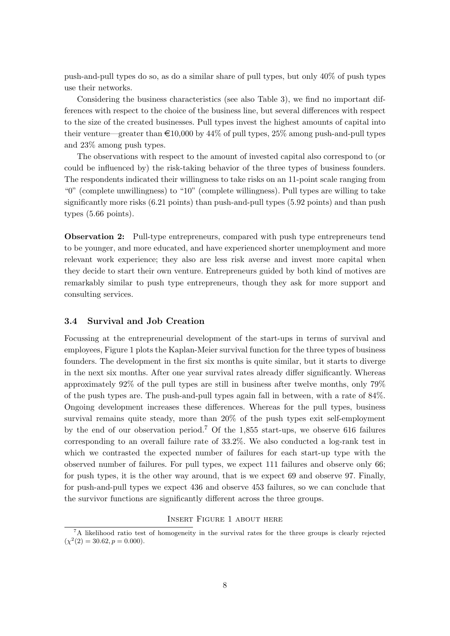push-and-pull types do so, as do a similar share of pull types, but only 40% of push types use their networks.

Considering the business characteristics (see also Table 3), we find no important differences with respect to the choice of the business line, but several differences with respect to the size of the created businesses. Pull types invest the highest amounts of capital into their venture—greater than  $\epsilon$ 10,000 by 44% of pull types, 25% among push-and-pull types and 23% among push types.

The observations with respect to the amount of invested capital also correspond to (or could be influenced by) the risk-taking behavior of the three types of business founders. The respondents indicated their willingness to take risks on an 11-point scale ranging from "0" (complete unwillingness) to "10" (complete willingness). Pull types are willing to take significantly more risks (6.21 points) than push-and-pull types (5.92 points) and than push types (5.66 points).

Observation 2: Pull-type entrepreneurs, compared with push type entrepreneurs tend to be younger, and more educated, and have experienced shorter unemployment and more relevant work experience; they also are less risk averse and invest more capital when they decide to start their own venture. Entrepreneurs guided by both kind of motives are remarkably similar to push type entrepreneurs, though they ask for more support and consulting services.

#### 3.4 Survival and Job Creation

Focussing at the entrepreneurial development of the start-ups in terms of survival and employees, Figure 1 plots the Kaplan-Meier survival function for the three types of business founders. The development in the first six months is quite similar, but it starts to diverge in the next six months. After one year survival rates already differ significantly. Whereas approximately 92% of the pull types are still in business after twelve months, only 79% of the push types are. The push-and-pull types again fall in between, with a rate of 84%. Ongoing development increases these differences. Whereas for the pull types, business survival remains quite steady, more than 20% of the push types exit self-employment by the end of our observation period.<sup>7</sup> Of the 1,855 start-ups, we observe 616 failures corresponding to an overall failure rate of 33.2%. We also conducted a log-rank test in which we contrasted the expected number of failures for each start-up type with the observed number of failures. For pull types, we expect 111 failures and observe only 66; for push types, it is the other way around, that is we expect 69 and observe 97. Finally, for push-and-pull types we expect 436 and observe 453 failures, so we can conclude that the survivor functions are significantly different across the three groups.

Insert Figure 1 about here

<sup>7</sup>A likelihood ratio test of homogeneity in the survival rates for the three groups is clearly rejected  $(\chi^2(2) = 30.62, p = 0.000).$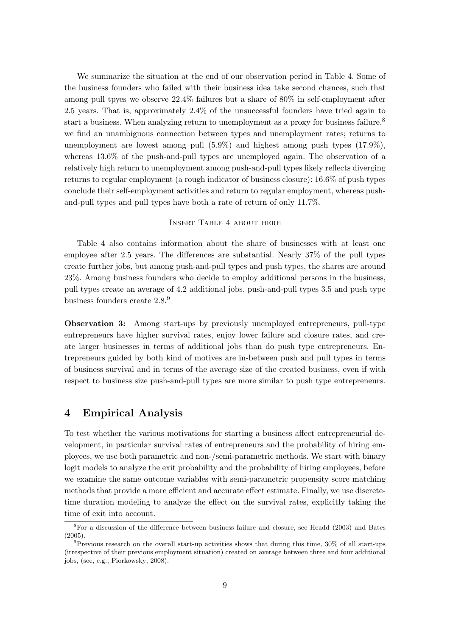We summarize the situation at the end of our observation period in Table 4. Some of the business founders who failed with their business idea take second chances, such that among pull tpyes we observe 22.4% failures but a share of 80% in self-employment after 2.5 years. That is, approximately 2.4% of the unsuccessful founders have tried again to start a business. When analyzing return to unemployment as a proxy for business failure,<sup>8</sup> we find an unambiguous connection between types and unemployment rates; returns to unemployment are lowest among pull (5.9%) and highest among push types (17.9%), whereas 13.6% of the push-and-pull types are unemployed again. The observation of a relatively high return to unemployment among push-and-pull types likely reflects diverging returns to regular employment (a rough indicator of business closure): 16.6% of push types conclude their self-employment activities and return to regular employment, whereas pushand-pull types and pull types have both a rate of return of only 11.7%.

#### Insert Table 4 about here

Table 4 also contains information about the share of businesses with at least one employee after 2.5 years. The differences are substantial. Nearly 37% of the pull types create further jobs, but among push-and-pull types and push types, the shares are around 23%. Among business founders who decide to employ additional persons in the business, pull types create an average of 4.2 additional jobs, push-and-pull types 3.5 and push type business founders create 2.8.<sup>9</sup>

Observation 3: Among start-ups by previously unemployed entrepreneurs, pull-type entrepreneurs have higher survival rates, enjoy lower failure and closure rates, and create larger businesses in terms of additional jobs than do push type entrepreneurs. Entrepreneurs guided by both kind of motives are in-between push and pull types in terms of business survival and in terms of the average size of the created business, even if with respect to business size push-and-pull types are more similar to push type entrepreneurs.

### 4 Empirical Analysis

To test whether the various motivations for starting a business affect entrepreneurial development, in particular survival rates of entrepreneurs and the probability of hiring employees, we use both parametric and non-/semi-parametric methods. We start with binary logit models to analyze the exit probability and the probability of hiring employees, before we examine the same outcome variables with semi-parametric propensity score matching methods that provide a more efficient and accurate effect estimate. Finally, we use discretetime duration modeling to analyze the effect on the survival rates, explicitly taking the time of exit into account.

<sup>8</sup>For a discussion of the difference between business failure and closure, see Headd (2003) and Bates (2005).

<sup>9</sup>Previous research on the overall start-up activities shows that during this time, 30% of all start-ups (irrespective of their previous employment situation) created on average between three and four additional jobs, (see, e.g., Piorkowsky, 2008).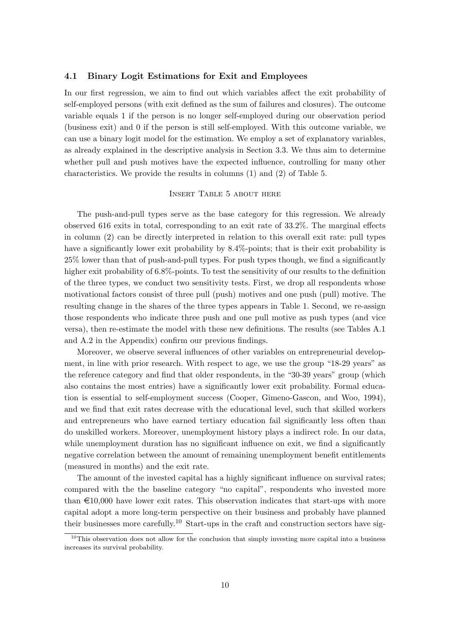#### 4.1 Binary Logit Estimations for Exit and Employees

In our first regression, we aim to find out which variables affect the exit probability of self-employed persons (with exit defined as the sum of failures and closures). The outcome variable equals 1 if the person is no longer self-employed during our observation period (business exit) and 0 if the person is still self-employed. With this outcome variable, we can use a binary logit model for the estimation. We employ a set of explanatory variables, as already explained in the descriptive analysis in Section 3.3. We thus aim to determine whether pull and push motives have the expected influence, controlling for many other characteristics. We provide the results in columns (1) and (2) of Table 5.

#### Insert Table 5 about here

The push-and-pull types serve as the base category for this regression. We already observed 616 exits in total, corresponding to an exit rate of 33.2%. The marginal effects in column (2) can be directly interpreted in relation to this overall exit rate: pull types have a significantly lower exit probability by 8.4%-points; that is their exit probability is 25% lower than that of push-and-pull types. For push types though, we find a significantly higher exit probability of  $6.8\%$ -points. To test the sensitivity of our results to the definition of the three types, we conduct two sensitivity tests. First, we drop all respondents whose motivational factors consist of three pull (push) motives and one push (pull) motive. The resulting change in the shares of the three types appears in Table 1. Second, we re-assign those respondents who indicate three push and one pull motive as push types (and vice versa), then re-estimate the model with these new definitions. The results (see Tables A.1 and A.2 in the Appendix) confirm our previous findings.

Moreover, we observe several influences of other variables on entrepreneurial development, in line with prior research. With respect to age, we use the group "18-29 years" as the reference category and find that older respondents, in the "30-39 years" group (which also contains the most entries) have a significantly lower exit probability. Formal education is essential to self-employment success (Cooper, Gimeno-Gascon, and Woo, 1994), and we find that exit rates decrease with the educational level, such that skilled workers and entrepreneurs who have earned tertiary education fail significantly less often than do unskilled workers. Moreover, unemployment history plays a indirect role. In our data, while unemployment duration has no significant influence on exit, we find a significantly negative correlation between the amount of remaining unemployment benefit entitlements (measured in months) and the exit rate.

The amount of the invested capital has a highly significant influence on survival rates; compared with the the baseline category "no capital", respondents who invested more than  $\epsilon$ 10,000 have lower exit rates. This observation indicates that start-ups with more capital adopt a more long-term perspective on their business and probably have planned their businesses more carefully.<sup>10</sup> Start-ups in the craft and construction sectors have sig-

 $10$ This observation does not allow for the conclusion that simply investing more capital into a business increases its survival probability.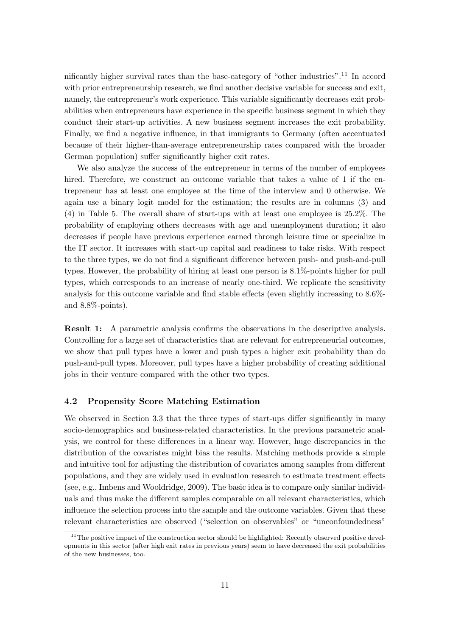nificantly higher survival rates than the base-category of "other industries".<sup>11</sup> In accord with prior entrepreneurship research, we find another decisive variable for success and exit, namely, the entrepreneur's work experience. This variable significantly decreases exit probabilities when entrepreneurs have experience in the specific business segment in which they conduct their start-up activities. A new business segment increases the exit probability. Finally, we find a negative influence, in that immigrants to Germany (often accentuated because of their higher-than-average entrepreneurship rates compared with the broader German population) suffer significantly higher exit rates.

We also analyze the success of the entrepreneur in terms of the number of employees hired. Therefore, we construct an outcome variable that takes a value of 1 if the entrepreneur has at least one employee at the time of the interview and 0 otherwise. We again use a binary logit model for the estimation; the results are in columns (3) and (4) in Table 5. The overall share of start-ups with at least one employee is 25.2%. The probability of employing others decreases with age and unemployment duration; it also decreases if people have previous experience earned through leisure time or specialize in the IT sector. It increases with start-up capital and readiness to take risks. With respect to the three types, we do not find a significant difference between push- and push-and-pull types. However, the probability of hiring at least one person is 8.1%-points higher for pull types, which corresponds to an increase of nearly one-third. We replicate the sensitivity analysis for this outcome variable and find stable effects (even slightly increasing to 8.6% and 8.8%-points).

Result 1: A parametric analysis confirms the observations in the descriptive analysis. Controlling for a large set of characteristics that are relevant for entrepreneurial outcomes, we show that pull types have a lower and push types a higher exit probability than do push-and-pull types. Moreover, pull types have a higher probability of creating additional jobs in their venture compared with the other two types.

#### 4.2 Propensity Score Matching Estimation

We observed in Section 3.3 that the three types of start-ups differ significantly in many socio-demographics and business-related characteristics. In the previous parametric analysis, we control for these differences in a linear way. However, huge discrepancies in the distribution of the covariates might bias the results. Matching methods provide a simple and intuitive tool for adjusting the distribution of covariates among samples from different populations, and they are widely used in evaluation research to estimate treatment effects (see, e.g., Imbens and Wooldridge, 2009). The basic idea is to compare only similar individuals and thus make the different samples comparable on all relevant characteristics, which influence the selection process into the sample and the outcome variables. Given that these relevant characteristics are observed ("selection on observables" or "unconfoundedness"

<sup>&</sup>lt;sup>11</sup>The positive impact of the construction sector should be highlighted: Recently observed positive developments in this sector (after high exit rates in previous years) seem to have decreased the exit probabilities of the new businesses, too.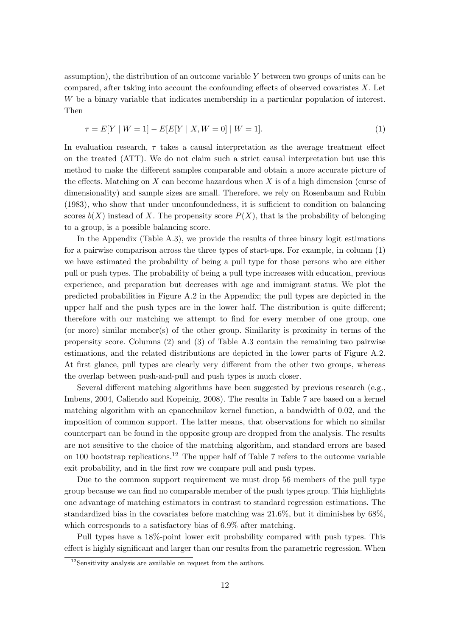assumption), the distribution of an outcome variable  $Y$  between two groups of units can be compared, after taking into account the confounding effects of observed covariates  $X$ . Let W be a binary variable that indicates membership in a particular population of interest. Then

$$
\tau = E[Y \mid W = 1] - E[E[Y \mid X, W = 0] \mid W = 1]. \tag{1}
$$

In evaluation research,  $\tau$  takes a causal interpretation as the average treatment effect on the treated (ATT). We do not claim such a strict causal interpretation but use this method to make the different samples comparable and obtain a more accurate picture of the effects. Matching on X can become hazardous when X is of a high dimension (curse of dimensionality) and sample sizes are small. Therefore, we rely on Rosenbaum and Rubin (1983), who show that under unconfoundedness, it is sufficient to condition on balancing scores  $b(X)$  instead of X. The propensity score  $P(X)$ , that is the probability of belonging to a group, is a possible balancing score.

In the Appendix (Table  $(A.3)$ , we provide the results of three binary logit estimations for a pairwise comparison across the three types of start-ups. For example, in column (1) we have estimated the probability of being a pull type for those persons who are either pull or push types. The probability of being a pull type increases with education, previous experience, and preparation but decreases with age and immigrant status. We plot the predicted probabilities in Figure A.2 in the Appendix; the pull types are depicted in the upper half and the push types are in the lower half. The distribution is quite different; therefore with our matching we attempt to find for every member of one group, one (or more) similar member(s) of the other group. Similarity is proximity in terms of the propensity score. Columns (2) and (3) of Table A.3 contain the remaining two pairwise estimations, and the related distributions are depicted in the lower parts of Figure A.2. At first glance, pull types are clearly very different from the other two groups, whereas the overlap between push-and-pull and push types is much closer.

Several different matching algorithms have been suggested by previous research (e.g., Imbens, 2004, Caliendo and Kopeinig, 2008). The results in Table 7 are based on a kernel matching algorithm with an epanechnikov kernel function, a bandwidth of 0.02, and the imposition of common support. The latter means, that observations for which no similar counterpart can be found in the opposite group are dropped from the analysis. The results are not sensitive to the choice of the matching algorithm, and standard errors are based on 100 bootstrap replications.<sup>12</sup> The upper half of Table 7 refers to the outcome variable exit probability, and in the first row we compare pull and push types.

Due to the common support requirement we must drop 56 members of the pull type group because we can find no comparable member of the push types group. This highlights one advantage of matching estimators in contrast to standard regression estimations. The standardized bias in the covariates before matching was 21.6%, but it diminishes by 68%, which corresponds to a satisfactory bias of 6.9% after matching.

Pull types have a 18%-point lower exit probability compared with push types. This effect is highly significant and larger than our results from the parametric regression. When

 $12$ Sensitivity analysis are available on request from the authors.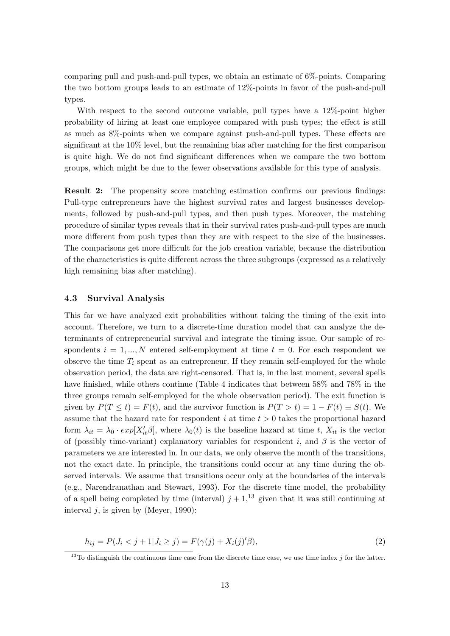comparing pull and push-and-pull types, we obtain an estimate of 6%-points. Comparing the two bottom groups leads to an estimate of 12%-points in favor of the push-and-pull types.

With respect to the second outcome variable, pull types have a 12%-point higher probability of hiring at least one employee compared with push types; the effect is still as much as 8%-points when we compare against push-and-pull types. These effects are significant at the 10% level, but the remaining bias after matching for the first comparison is quite high. We do not find significant differences when we compare the two bottom groups, which might be due to the fewer observations available for this type of analysis.

Result 2: The propensity score matching estimation confirms our previous findings: Pull-type entrepreneurs have the highest survival rates and largest businesses developments, followed by push-and-pull types, and then push types. Moreover, the matching procedure of similar types reveals that in their survival rates push-and-pull types are much more different from push types than they are with respect to the size of the businesses. The comparisons get more difficult for the job creation variable, because the distribution of the characteristics is quite different across the three subgroups (expressed as a relatively high remaining bias after matching).

#### 4.3 Survival Analysis

This far we have analyzed exit probabilities without taking the timing of the exit into account. Therefore, we turn to a discrete-time duration model that can analyze the determinants of entrepreneurial survival and integrate the timing issue. Our sample of respondents  $i = 1, ..., N$  entered self-employment at time  $t = 0$ . For each respondent we observe the time  $T_i$  spent as an entrepreneur. If they remain self-employed for the whole observation period, the data are right-censored. That is, in the last moment, several spells have finished, while others continue (Table 4 indicates that between 58% and 78% in the three groups remain self-employed for the whole observation period). The exit function is given by  $P(T \le t) = F(t)$ , and the survivor function is  $P(T > t) = 1 - F(t) \equiv S(t)$ . We assume that the hazard rate for respondent i at time  $t > 0$  takes the proportional hazard form  $\lambda_{it} = \lambda_0 \cdot exp[X'_{it} \beta]$ , where  $\lambda_0(t)$  is the baseline hazard at time t,  $X_{it}$  is the vector of (possibly time-variant) explanatory variables for respondent i, and  $\beta$  is the vector of parameters we are interested in. In our data, we only observe the month of the transitions, not the exact date. In principle, the transitions could occur at any time during the observed intervals. We assume that transitions occur only at the boundaries of the intervals (e.g., Narendranathan and Stewart, 1993). For the discrete time model, the probability of a spell being completed by time (interval)  $j + 1$ ,<sup>13</sup> given that it was still continuing at interval  $i$ , is given by (Meyer, 1990):

$$
h_{ij} = P(J_i < j + 1 | J_i \ge j) = F(\gamma(j) + X_i(j)'\beta),\tag{2}
$$

<sup>&</sup>lt;sup>13</sup>To distinguish the continuous time case from the discrete time case, we use time index j for the latter.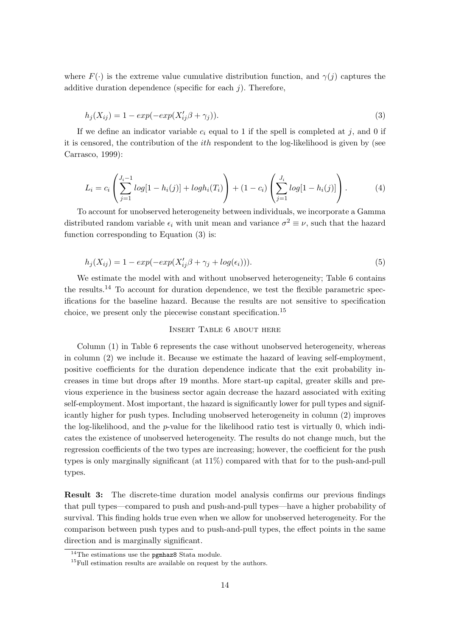where  $F(\cdot)$  is the extreme value cumulative distribution function, and  $\gamma(i)$  captures the additive duration dependence (specific for each  $i$ ). Therefore,

$$
h_j(X_{ij}) = 1 - exp(-exp(X'_{ij}\beta + \gamma_j)).
$$
\n(3)

If we define an indicator variable  $c_i$  equal to 1 if the spell is completed at j, and 0 if it is censored, the contribution of the ith respondent to the log-likelihood is given by (see Carrasco, 1999):

$$
L_i = c_i \left( \sum_{j=1}^{J_i - 1} log[1 - h_i(j)] + logh_i(T_i) \right) + (1 - c_i) \left( \sum_{j=1}^{J_i} log[1 - h_i(j)] \right). \tag{4}
$$

To account for unobserved heterogeneity between individuals, we incorporate a Gamma distributed random variable  $\epsilon_i$  with unit mean and variance  $\sigma^2 \equiv \nu$ , such that the hazard function corresponding to Equation (3) is:

$$
h_j(X_{ij}) = 1 - exp(-exp(X'_{ij}\beta + \gamma_j + log(\epsilon_i))).
$$
\n(5)

We estimate the model with and without unobserved heterogeneity; Table 6 contains the results.<sup>14</sup> To account for duration dependence, we test the flexible parametric specifications for the baseline hazard. Because the results are not sensitive to specification choice, we present only the piecewise constant specification.<sup>15</sup>

#### Insert Table 6 about here

Column (1) in Table 6 represents the case without unobserved heterogeneity, whereas in column (2) we include it. Because we estimate the hazard of leaving self-employment, positive coefficients for the duration dependence indicate that the exit probability increases in time but drops after 19 months. More start-up capital, greater skills and previous experience in the business sector again decrease the hazard associated with exiting self-employment. Most important, the hazard is significantly lower for pull types and significantly higher for push types. Including unobserved heterogeneity in column (2) improves the log-likelihood, and the p-value for the likelihood ratio test is virtually 0, which indicates the existence of unobserved heterogeneity. The results do not change much, but the regression coefficients of the two types are increasing; however, the coefficient for the push types is only marginally significant (at 11%) compared with that for to the push-and-pull types.

Result 3: The discrete-time duration model analysis confirms our previous findings that pull types—compared to push and push-and-pull types—have a higher probability of survival. This finding holds true even when we allow for unobserved heterogeneity. For the comparison between push types and to push-and-pull types, the effect points in the same direction and is marginally significant.

<sup>&</sup>lt;sup>14</sup>The estimations use the **pgmhaz8** Stata module.

 $15$ Full estimation results are available on request by the authors.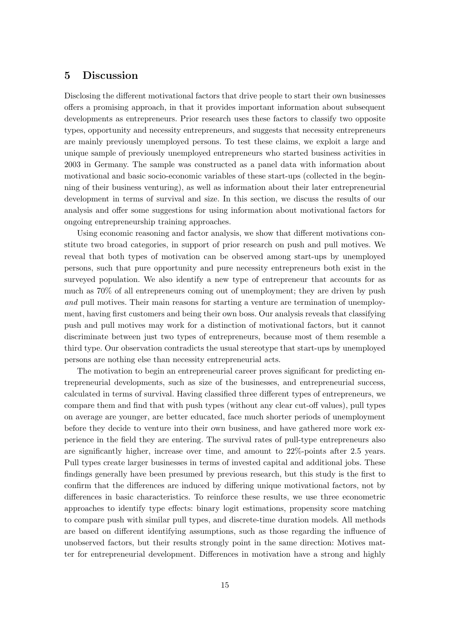### 5 Discussion

Disclosing the different motivational factors that drive people to start their own businesses offers a promising approach, in that it provides important information about subsequent developments as entrepreneurs. Prior research uses these factors to classify two opposite types, opportunity and necessity entrepreneurs, and suggests that necessity entrepreneurs are mainly previously unemployed persons. To test these claims, we exploit a large and unique sample of previously unemployed entrepreneurs who started business activities in 2003 in Germany. The sample was constructed as a panel data with information about motivational and basic socio-economic variables of these start-ups (collected in the beginning of their business venturing), as well as information about their later entrepreneurial development in terms of survival and size. In this section, we discuss the results of our analysis and offer some suggestions for using information about motivational factors for ongoing entrepreneurship training approaches.

Using economic reasoning and factor analysis, we show that different motivations constitute two broad categories, in support of prior research on push and pull motives. We reveal that both types of motivation can be observed among start-ups by unemployed persons, such that pure opportunity and pure necessity entrepreneurs both exist in the surveyed population. We also identify a new type of entrepreneur that accounts for as much as 70% of all entrepreneurs coming out of unemployment; they are driven by push and pull motives. Their main reasons for starting a venture are termination of unemployment, having first customers and being their own boss. Our analysis reveals that classifying push and pull motives may work for a distinction of motivational factors, but it cannot discriminate between just two types of entrepreneurs, because most of them resemble a third type. Our observation contradicts the usual stereotype that start-ups by unemployed persons are nothing else than necessity entrepreneurial acts.

The motivation to begin an entrepreneurial career proves significant for predicting entrepreneurial developments, such as size of the businesses, and entrepreneurial success, calculated in terms of survival. Having classified three different types of entrepreneurs, we compare them and find that with push types (without any clear cut-off values), pull types on average are younger, are better educated, face much shorter periods of unemployment before they decide to venture into their own business, and have gathered more work experience in the field they are entering. The survival rates of pull-type entrepreneurs also are significantly higher, increase over time, and amount to 22%-points after 2.5 years. Pull types create larger businesses in terms of invested capital and additional jobs. These findings generally have been presumed by previous research, but this study is the first to confirm that the differences are induced by differing unique motivational factors, not by differences in basic characteristics. To reinforce these results, we use three econometric approaches to identify type effects: binary logit estimations, propensity score matching to compare push with similar pull types, and discrete-time duration models. All methods are based on different identifying assumptions, such as those regarding the influence of unobserved factors, but their results strongly point in the same direction: Motives matter for entrepreneurial development. Differences in motivation have a strong and highly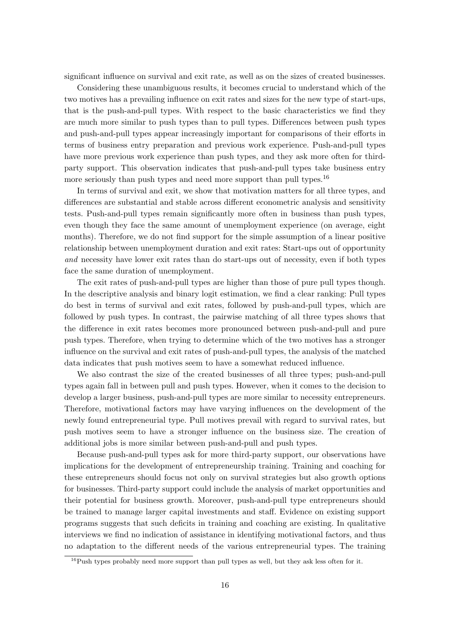significant influence on survival and exit rate, as well as on the sizes of created businesses.

Considering these unambiguous results, it becomes crucial to understand which of the two motives has a prevailing influence on exit rates and sizes for the new type of start-ups, that is the push-and-pull types. With respect to the basic characteristics we find they are much more similar to push types than to pull types. Differences between push types and push-and-pull types appear increasingly important for comparisons of their efforts in terms of business entry preparation and previous work experience. Push-and-pull types have more previous work experience than push types, and they ask more often for thirdparty support. This observation indicates that push-and-pull types take business entry more seriously than push types and need more support than pull types.<sup>16</sup>

In terms of survival and exit, we show that motivation matters for all three types, and differences are substantial and stable across different econometric analysis and sensitivity tests. Push-and-pull types remain significantly more often in business than push types, even though they face the same amount of unemployment experience (on average, eight months). Therefore, we do not find support for the simple assumption of a linear positive relationship between unemployment duration and exit rates: Start-ups out of opportunity and necessity have lower exit rates than do start-ups out of necessity, even if both types face the same duration of unemployment.

The exit rates of push-and-pull types are higher than those of pure pull types though. In the descriptive analysis and binary logit estimation, we find a clear ranking: Pull types do best in terms of survival and exit rates, followed by push-and-pull types, which are followed by push types. In contrast, the pairwise matching of all three types shows that the difference in exit rates becomes more pronounced between push-and-pull and pure push types. Therefore, when trying to determine which of the two motives has a stronger influence on the survival and exit rates of push-and-pull types, the analysis of the matched data indicates that push motives seem to have a somewhat reduced influence.

We also contrast the size of the created businesses of all three types; push-and-pull types again fall in between pull and push types. However, when it comes to the decision to develop a larger business, push-and-pull types are more similar to necessity entrepreneurs. Therefore, motivational factors may have varying influences on the development of the newly found entrepreneurial type. Pull motives prevail with regard to survival rates, but push motives seem to have a stronger influence on the business size. The creation of additional jobs is more similar between push-and-pull and push types.

Because push-and-pull types ask for more third-party support, our observations have implications for the development of entrepreneurship training. Training and coaching for these entrepreneurs should focus not only on survival strategies but also growth options for businesses. Third-party support could include the analysis of market opportunities and their potential for business growth. Moreover, push-and-pull type entrepreneurs should be trained to manage larger capital investments and staff. Evidence on existing support programs suggests that such deficits in training and coaching are existing. In qualitative interviews we find no indication of assistance in identifying motivational factors, and thus no adaptation to the different needs of the various entrepreneurial types. The training

<sup>&</sup>lt;sup>16</sup>Push types probably need more support than pull types as well, but they ask less often for it.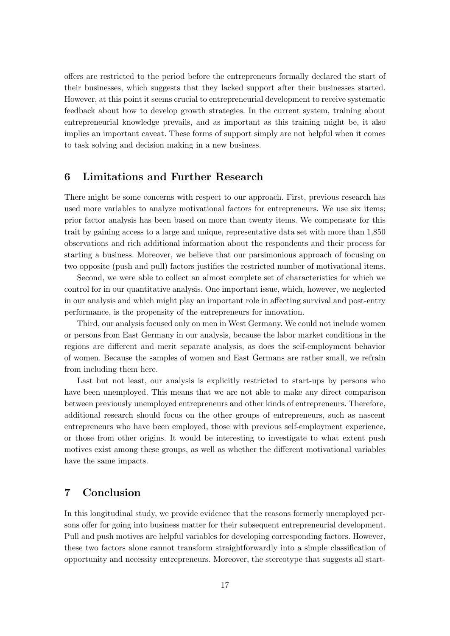offers are restricted to the period before the entrepreneurs formally declared the start of their businesses, which suggests that they lacked support after their businesses started. However, at this point it seems crucial to entrepreneurial development to receive systematic feedback about how to develop growth strategies. In the current system, training about entrepreneurial knowledge prevails, and as important as this training might be, it also implies an important caveat. These forms of support simply are not helpful when it comes to task solving and decision making in a new business.

### 6 Limitations and Further Research

There might be some concerns with respect to our approach. First, previous research has used more variables to analyze motivational factors for entrepreneurs. We use six items; prior factor analysis has been based on more than twenty items. We compensate for this trait by gaining access to a large and unique, representative data set with more than 1,850 observations and rich additional information about the respondents and their process for starting a business. Moreover, we believe that our parsimonious approach of focusing on two opposite (push and pull) factors justifies the restricted number of motivational items.

Second, we were able to collect an almost complete set of characteristics for which we control for in our quantitative analysis. One important issue, which, however, we neglected in our analysis and which might play an important role in affecting survival and post-entry performance, is the propensity of the entrepreneurs for innovation.

Third, our analysis focused only on men in West Germany. We could not include women or persons from East Germany in our analysis, because the labor market conditions in the regions are different and merit separate analysis, as does the self-employment behavior of women. Because the samples of women and East Germans are rather small, we refrain from including them here.

Last but not least, our analysis is explicitly restricted to start-ups by persons who have been unemployed. This means that we are not able to make any direct comparison between previously unemployed entrepreneurs and other kinds of entrepreneurs. Therefore, additional research should focus on the other groups of entrepreneurs, such as nascent entrepreneurs who have been employed, those with previous self-employment experience, or those from other origins. It would be interesting to investigate to what extent push motives exist among these groups, as well as whether the different motivational variables have the same impacts.

# 7 Conclusion

In this longitudinal study, we provide evidence that the reasons formerly unemployed persons offer for going into business matter for their subsequent entrepreneurial development. Pull and push motives are helpful variables for developing corresponding factors. However, these two factors alone cannot transform straightforwardly into a simple classification of opportunity and necessity entrepreneurs. Moreover, the stereotype that suggests all start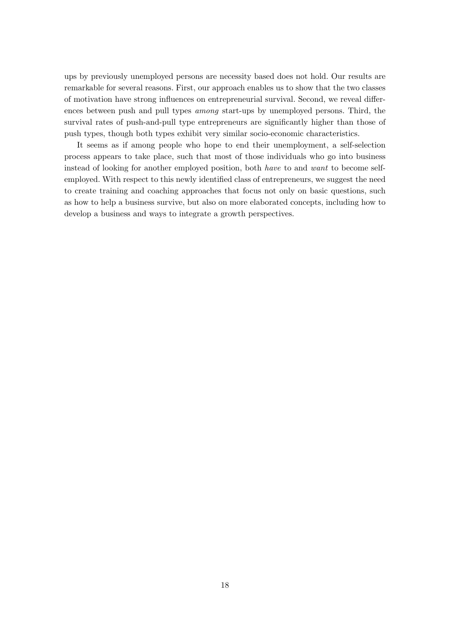ups by previously unemployed persons are necessity based does not hold. Our results are remarkable for several reasons. First, our approach enables us to show that the two classes of motivation have strong influences on entrepreneurial survival. Second, we reveal differences between push and pull types among start-ups by unemployed persons. Third, the survival rates of push-and-pull type entrepreneurs are significantly higher than those of push types, though both types exhibit very similar socio-economic characteristics.

It seems as if among people who hope to end their unemployment, a self-selection process appears to take place, such that most of those individuals who go into business instead of looking for another employed position, both have to and want to become selfemployed. With respect to this newly identified class of entrepreneurs, we suggest the need to create training and coaching approaches that focus not only on basic questions, such as how to help a business survive, but also on more elaborated concepts, including how to develop a business and ways to integrate a growth perspectives.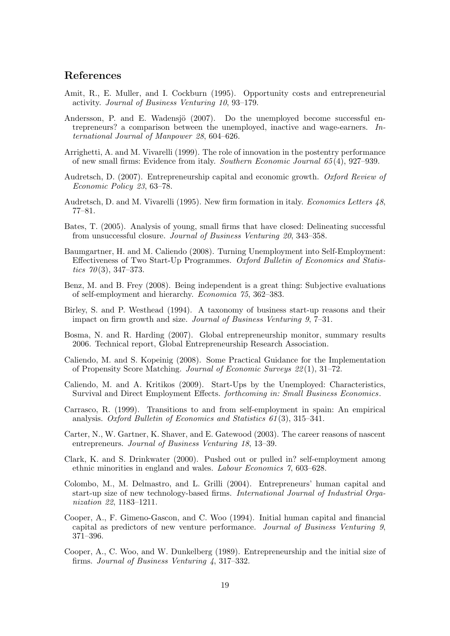### References

- Amit, R., E. Muller, and I. Cockburn (1995). Opportunity costs and entrepreneurial activity. Journal of Business Venturing 10, 93–179.
- Andersson, P. and E. Wadensjö (2007). Do the unemployed become successful entrepreneurs? a comparison between the unemployed, inactive and wage-earners. International Journal of Manpower 28, 604–626.
- Arrighetti, A. and M. Vivarelli (1999). The role of innovation in the postentry performance of new small firms: Evidence from italy. Southern Economic Journal 65 (4), 927–939.
- Audretsch, D. (2007). Entrepreneurship capital and economic growth. Oxford Review of Economic Policy 23, 63–78.
- Audretsch, D. and M. Vivarelli (1995). New firm formation in italy. Economics Letters 48, 77–81.
- Bates, T. (2005). Analysis of young, small firms that have closed: Delineating successful from unsuccessful closure. Journal of Business Venturing 20, 343–358.
- Baumgartner, H. and M. Caliendo (2008). Turning Unemployment into Self-Employment: Effectiveness of Two Start-Up Programmes. Oxford Bulletin of Economics and Statistics  $70(3)$ , 347–373.
- Benz, M. and B. Frey (2008). Being independent is a great thing: Subjective evaluations of self-employment and hierarchy. Economica 75, 362–383.
- Birley, S. and P. Westhead (1994). A taxonomy of business start-up reasons and their impact on firm growth and size. Journal of Business Venturing 9, 7–31.
- Bosma, N. and R. Harding (2007). Global entrepreneurship monitor, summary results 2006. Technical report, Global Entrepreneurship Research Association.
- Caliendo, M. and S. Kopeinig (2008). Some Practical Guidance for the Implementation of Propensity Score Matching. Journal of Economic Surveys 22 (1), 31–72.
- Caliendo, M. and A. Kritikos (2009). Start-Ups by the Unemployed: Characteristics, Survival and Direct Employment Effects. forthcoming in: Small Business Economics.
- Carrasco, R. (1999). Transitions to and from self-employment in spain: An empirical analysis. Oxford Bulletin of Economics and Statistics 61 (3), 315–341.
- Carter, N., W. Gartner, K. Shaver, and E. Gatewood (2003). The career reasons of nascent entrepreneurs. Journal of Business Venturing 18, 13–39.
- Clark, K. and S. Drinkwater (2000). Pushed out or pulled in? self-employment among ethnic minorities in england and wales. Labour Economics 7, 603–628.
- Colombo, M., M. Delmastro, and L. Grilli (2004). Entrepreneurs' human capital and start-up size of new technology-based firms. International Journal of Industrial Organization 22, 1183–1211.
- Cooper, A., F. Gimeno-Gascon, and C. Woo (1994). Initial human capital and financial capital as predictors of new venture performance. Journal of Business Venturing 9, 371–396.
- Cooper, A., C. Woo, and W. Dunkelberg (1989). Entrepreneurship and the initial size of firms. Journal of Business Venturing 4, 317–332.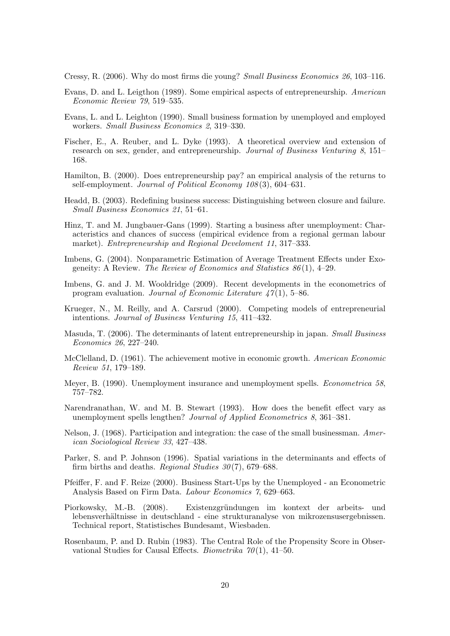Cressy, R. (2006). Why do most firms die young? Small Business Economics 26, 103–116.

- Evans, D. and L. Leigthon (1989). Some empirical aspects of entrepreneurship. American Economic Review 79, 519–535.
- Evans, L. and L. Leighton (1990). Small business formation by unemployed and employed workers. Small Business Economics 2, 319–330.
- Fischer, E., A. Reuber, and L. Dyke (1993). A theoretical overview and extension of research on sex, gender, and entrepreneurship. Journal of Business Venturing 8, 151– 168.
- Hamilton, B. (2000). Does entrepreneurship pay? an empirical analysis of the returns to self-employment. Journal of Political Economy 108(3), 604–631.
- Headd, B. (2003). Redefining business success: Distinguishing between closure and failure. Small Business Economics 21, 51–61.
- Hinz, T. and M. Jungbauer-Gans (1999). Starting a business after unemployment: Characteristics and chances of success (empirical evidence from a regional german labour market). Entrepreneurship and Regional Develoment 11, 317–333.
- Imbens, G. (2004). Nonparametric Estimation of Average Treatment Effects under Exogeneity: A Review. The Review of Economics and Statistics  $86(1)$ , 4-29.
- Imbens, G. and J. M. Wooldridge (2009). Recent developments in the econometrics of program evaluation. Journal of Economic Literature  $47(1)$ , 5–86.
- Krueger, N., M. Reilly, and A. Carsrud (2000). Competing models of entrepreneurial intentions. Journal of Business Venturing 15, 411–432.
- Masuda, T. (2006). The determinants of latent entrepreneurship in japan. Small Business Economics 26, 227–240.
- McClelland, D. (1961). The achievement motive in economic growth. American Economic Review 51, 179–189.
- Meyer, B. (1990). Unemployment insurance and unemployment spells. *Econometrica* 58, 757–782.
- Narendranathan, W. and M. B. Stewart (1993). How does the benefit effect vary as unemployment spells lengthen? Journal of Applied Econometrics 8, 361–381.
- Nelson, J. (1968). Participation and integration: the case of the small businessman. American Sociological Review 33, 427–438.
- Parker, S. and P. Johnson (1996). Spatial variations in the determinants and effects of firm births and deaths. Regional Studies  $30(7)$ , 679–688.
- Pfeiffer, F. and F. Reize (2000). Business Start-Ups by the Unemployed an Econometric Analysis Based on Firm Data. Labour Economics 7, 629–663.
- Piorkowsky, M.-B. (2008). Existenzgründungen im kontext der arbeits- und lebensverhältnisse in deutschland - eine strukturanalyse von mikrozensusergebnissen. Technical report, Statistisches Bundesamt, Wiesbaden.
- Rosenbaum, P. and D. Rubin (1983). The Central Role of the Propensity Score in Observational Studies for Causal Effects. *Biometrika*  $70(1)$ , 41–50.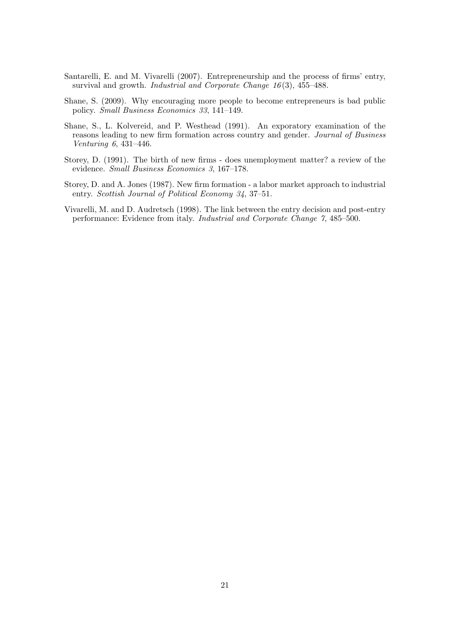- Santarelli, E. and M. Vivarelli (2007). Entrepreneurship and the process of firms' entry, survival and growth. *Industrial and Corporate Change 16*(3), 455–488.
- Shane, S. (2009). Why encouraging more people to become entrepreneurs is bad public policy. Small Business Economics 33, 141–149.
- Shane, S., L. Kolvereid, and P. Westhead (1991). An exporatory examination of the reasons leading to new firm formation across country and gender. Journal of Business Venturing 6, 431–446.
- Storey, D. (1991). The birth of new firms does unemployment matter? a review of the evidence. Small Business Economics 3, 167–178.
- Storey, D. and A. Jones (1987). New firm formation a labor market approach to industrial entry. Scottish Journal of Political Economy 34, 37-51.
- Vivarelli, M. and D. Audretsch (1998). The link between the entry decision and post-entry performance: Evidence from italy. Industrial and Corporate Change 7, 485–500.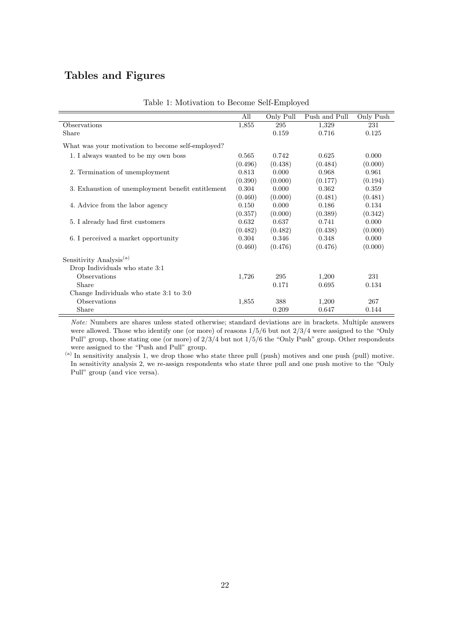# Tables and Figures

|                                                   | All     | Only Pull | Push and Pull | Only Push |
|---------------------------------------------------|---------|-----------|---------------|-----------|
| Observations                                      | 1,855   | 295       | 1,329         | 231       |
| Share                                             |         | 0.159     | 0.716         | 0.125     |
| What was your motivation to become self-employed? |         |           |               |           |
| 1. I always wanted to be my own boss              | 0.565   | 0.742     | 0.625         | 0.000     |
|                                                   | (0.496) | (0.438)   | (0.484)       | (0.000)   |
| 2. Termination of unemployment                    | 0.813   | 0.000     | 0.968         | 0.961     |
|                                                   | (0.390) | (0.000)   | (0.177)       | (0.194)   |
| 3. Exhaustion of unemployment benefit entitlement | 0.304   | 0.000     | 0.362         | 0.359     |
|                                                   | (0.460) | (0.000)   | (0.481)       | (0.481)   |
| 4. Advice from the labor agency                   | 0.150   | 0.000     | 0.186         | 0.134     |
|                                                   | (0.357) | (0.000)   | (0.389)       | (0.342)   |
| 5. I already had first customers                  | 0.632   | 0.637     | 0.741         | 0.000     |
|                                                   | (0.482) | (0.482)   | (0.438)       | (0.000)   |
| 6. I perceived a market opportunity               | 0.304   | 0.346     | 0.348         | 0.000     |
|                                                   | (0.460) | (0.476)   | (0.476)       | (0.000)   |
| Sensitivity Analysis <sup>(a)</sup>               |         |           |               |           |
| Drop Individuals who state 3:1                    |         |           |               |           |
| <b>Observations</b>                               | 1,726   | 295       | 1,200         | 231       |
| Share                                             |         | 0.171     | 0.695         | 0.134     |
| Change Individuals who state 3:1 to 3:0           |         |           |               |           |
| <b>Observations</b>                               | 1,855   | 388       | 1,200         | 267       |
| Share                                             |         | 0.209     | 0.647         | 0.144     |

Note: Numbers are shares unless stated otherwise; standard deviations are in brackets. Multiple answers were allowed. Those who identify one (or more) of reasons 1/5/6 but not 2/3/4 were assigned to the "Only Pull" group, those stating one (or more) of 2/3/4 but not 1/5/6 the "Only Push" group. Other respondents were assigned to the "Push and Pull" group.

(a) In sensitivity analysis 1, we drop those who state three pull (push) motives and one push (pull) motive. In sensitivity analysis 2, we re-assign respondents who state three pull and one push motive to the "Only Pull" group (and vice versa).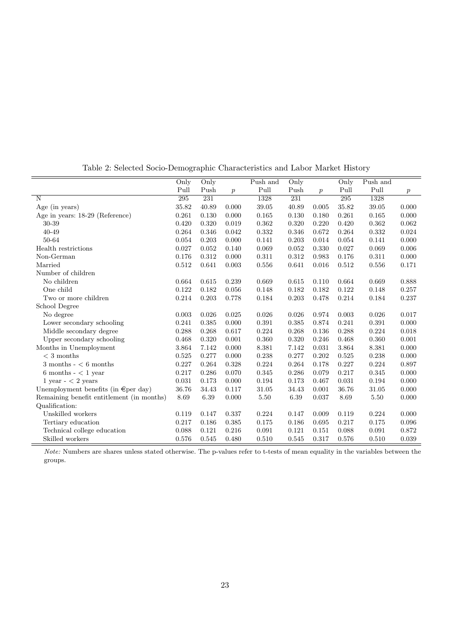|                                           | Only    | Only     |                  | Push and  | Only  |                  | Only    | Push and |                  |
|-------------------------------------------|---------|----------|------------------|-----------|-------|------------------|---------|----------|------------------|
|                                           | Pull    | Push     | $\boldsymbol{p}$ | Pull      | Push  | $\boldsymbol{p}$ | Pull    | Pull     | $\boldsymbol{p}$ |
| N                                         | $\,295$ | 231      |                  | 1328      | 231   |                  | $\,295$ | 1328     |                  |
| Age (in years)                            | 35.82   | 40.89    | 0.000            | 39.05     | 40.89 | 0.005            | 35.82   | 39.05    | 0.000            |
| Age in years: 18-29 (Reference)           | 0.261   | 0.130    | 0.000            | 0.165     | 0.130 | 0.180            | 0.261   | 0.165    | 0.000            |
| 30-39                                     | 0.420   | 0.320    | 0.019            | 0.362     | 0.320 | 0.220            | 0.420   | 0.362    | 0.062            |
| 40-49                                     | 0.264   | 0.346    | 0.042            | 0.332     | 0.346 | 0.672            | 0.264   | 0.332    | 0.024            |
| 50-64                                     | 0.054   | 0.203    | 0.000            | 0.141     | 0.203 | 0.014            | 0.054   | 0.141    | 0.000            |
| Health restrictions                       | 0.027   | 0.052    | 0.140            | 0.069     | 0.052 | 0.330            | 0.027   | 0.069    | 0.006            |
| Non-German                                | 0.176   | 0.312    | 0.000            | $0.311\,$ | 0.312 | 0.983            | 0.176   | 0.311    | 0.000            |
| Married                                   | 0.512   | 0.641    | 0.003            | 0.556     | 0.641 | 0.016            | 0.512   | 0.556    | 0.171            |
| Number of children                        |         |          |                  |           |       |                  |         |          |                  |
| No children                               | 0.664   | 0.615    | 0.239            | 0.669     | 0.615 | 0.110            | 0.664   | 0.669    | 0.888            |
| One child                                 | 0.122   | 0.182    | 0.056            | 0.148     | 0.182 | 0.182            | 0.122   | 0.148    | 0.257            |
| Two or more children                      | 0.214   | 0.203    | 0.778            | 0.184     | 0.203 | 0.478            | 0.214   | 0.184    | 0.237            |
| School Degree                             |         |          |                  |           |       |                  |         |          |                  |
| No degree                                 | 0.003   | 0.026    | 0.025            | 0.026     | 0.026 | 0.974            | 0.003   | 0.026    | 0.017            |
| Lower secondary schooling                 | 0.241   | 0.385    | 0.000            | 0.391     | 0.385 | 0.874            | 0.241   | 0.391    | 0.000            |
| Middle secondary degree                   | 0.288   | 0.268    | 0.617            | 0.224     | 0.268 | 0.136            | 0.288   | 0.224    | 0.018            |
| Upper secondary schooling                 | 0.468   | 0.320    | 0.001            | 0.360     | 0.320 | 0.246            | 0.468   | 0.360    | 0.001            |
| Months in Unemployment                    | 3.864   | 7.142    | 0.000            | 8.381     | 7.142 | 0.031            | 3.864   | 8.381    | 0.000            |
| $<$ 3 months                              | 0.525   | 0.277    | 0.000            | 0.238     | 0.277 | 0.202            | 0.525   | 0.238    | 0.000            |
| $3$ months $ <$ 6 months                  | 0.227   | 0.264    | 0.328            | 0.224     | 0.264 | 0.178            | 0.227   | 0.224    | 0.897            |
| $6$ months $-$ < 1 year                   | 0.217   | 0.286    | 0.070            | 0.345     | 0.286 | 0.079            | 0.217   | 0.345    | 0.000            |
| $1$ year $-$ < 2 years                    | 0.031   | 0.173    | 0.000            | 0.194     | 0.173 | 0.467            | 0.031   | 0.194    | 0.000            |
| Unemployment benefits (in $\in$ per day)  | 36.76   | 34.43    | 0.117            | 31.05     | 34.43 | 0.001            | 36.76   | 31.05    | 0.000            |
| Remaining benefit entitlement (in months) | 8.69    | $6.39\,$ | 0.000            | $5.50\,$  | 6.39  | 0.037            | 8.69    | $5.50\,$ | 0.000            |
| Qualification:                            |         |          |                  |           |       |                  |         |          |                  |
| Unskilled workers                         | 0.119   | 0.147    | 0.337            | 0.224     | 0.147 | 0.009            | 0.119   | 0.224    | 0.000            |
| Tertiary education                        | 0.217   | 0.186    | 0.385            | 0.175     | 0.186 | 0.695            | 0.217   | 0.175    | 0.096            |
| Technical college education               | 0.088   | 0.121    | 0.216            | 0.091     | 0.121 | 0.151            | 0.088   | 0.091    | 0.872            |
| Skilled workers                           | 0.576   | 0.545    | 0.480            | 0.510     | 0.545 | 0.317            | 0.576   | 0.510    | 0.039            |

Table 2: Selected Socio-Demographic Characteristics and Labor Market History

Note: Numbers are shares unless stated otherwise. The p-values refer to t-tests of mean equality in the variables between the groups.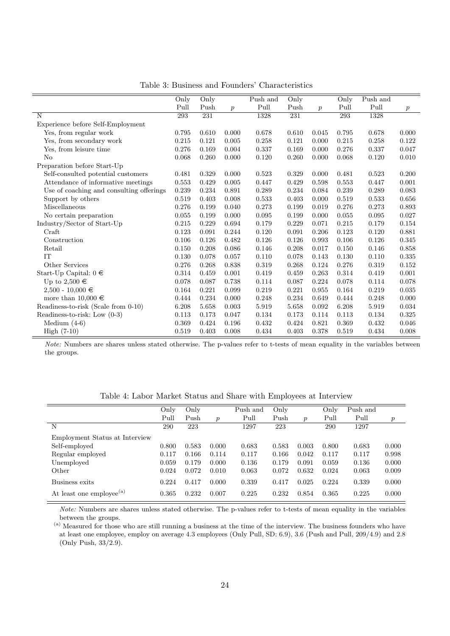|                                          | Only        | Only  |                  | Push and | Only  |                  | Only  | Push and |                  |
|------------------------------------------|-------------|-------|------------------|----------|-------|------------------|-------|----------|------------------|
|                                          | Pull        | Push  | $\boldsymbol{p}$ | Pull     | Push  | $\boldsymbol{p}$ | Pull  | Pull     | $\boldsymbol{p}$ |
| N                                        | 293         | 231   |                  | 1328     | 231   |                  | 293   | 1328     |                  |
| Experience before Self-Employment        |             |       |                  |          |       |                  |       |          |                  |
| Yes, from regular work                   | 0.795       | 0.610 | 0.000            | 0.678    | 0.610 | 0.045            | 0.795 | 0.678    | 0.000            |
| Yes, from secondary work                 | 0.215       | 0.121 | 0.005            | 0.258    | 0.121 | 0.000            | 0.215 | 0.258    | 0.122            |
| Yes, from leisure time                   | 0.276       | 0.169 | 0.004            | 0.337    | 0.169 | 0.000            | 0.276 | 0.337    | 0.047            |
| No                                       | 0.068       | 0.260 | 0.000            | 0.120    | 0.260 | 0.000            | 0.068 | 0.120    | 0.010            |
| Preparation before Start-Up              |             |       |                  |          |       |                  |       |          |                  |
| Self-consulted potential customers       | 0.481       | 0.329 | 0.000            | 0.523    | 0.329 | 0.000            | 0.481 | 0.523    | 0.200            |
| Attendance of informative meetings       | $\,0.553\,$ | 0.429 | 0.005            | 0.447    | 0.429 | 0.598            | 0.553 | 0.447    | 0.001            |
| Use of coaching and consulting offerings | 0.239       | 0.234 | 0.891            | 0.289    | 0.234 | 0.084            | 0.239 | 0.289    | 0.083            |
| Support by others                        | 0.519       | 0.403 | 0.008            | 0.533    | 0.403 | 0.000            | 0.519 | 0.533    | 0.656            |
| Miscellaneous                            | 0.276       | 0.199 | 0.040            | 0.273    | 0.199 | 0.019            | 0.276 | 0.273    | 0.893            |
| No certain preparation                   | 0.055       | 0.199 | 0.000            | 0.095    | 0.199 | 0.000            | 0.055 | 0.095    | 0.027            |
| Industry/Sector of Start-Up              | 0.215       | 0.229 | 0.694            | 0.179    | 0.229 | 0.071            | 0.215 | 0.179    | 0.154            |
| Craft                                    | 0.123       | 0.091 | $0.244\,$        | 0.120    | 0.091 | 0.206            | 0.123 | 0.120    | 0.881            |
| Construction                             | 0.106       | 0.126 | 0.482            | 0.126    | 0.126 | 0.993            | 0.106 | 0.126    | 0.345            |
| Retail                                   | 0.150       | 0.208 | 0.086            | 0.146    | 0.208 | 0.017            | 0.150 | 0.146    | 0.858            |
| IT                                       | 0.130       | 0.078 | 0.057            | 0.110    | 0.078 | 0.143            | 0.130 | 0.110    | 0.335            |
| Other Services                           | 0.276       | 0.268 | 0.838            | 0.319    | 0.268 | 0.124            | 0.276 | 0.319    | 0.152            |
| Start-Up Capital: $0 \in$                | 0.314       | 0.459 | 0.001            | 0.419    | 0.459 | 0.263            | 0.314 | 0.419    | 0.001            |
| Up to $2,\!500\in$                       | 0.078       | 0.087 | 0.738            | 0.114    | 0.087 | 0.224            | 0.078 | 0.114    | 0.078            |
| $2,500 - 10,000 \in$                     | 0.164       | 0.221 | 0.099            | 0.219    | 0.221 | 0.955            | 0.164 | 0.219    | 0.035            |
| more than $10,000 \in$                   | 0.444       | 0.234 | 0.000            | 0.248    | 0.234 | 0.649            | 0.444 | 0.248    | 0.000            |
| Readiness-to-risk (Scale from 0-10)      | 6.208       | 5.658 | 0.003            | 5.919    | 5.658 | 0.092            | 6.208 | 5.919    | 0.034            |
| Readiness-to-risk: Low (0-3)             | 0.113       | 0.173 | 0.047            | 0.134    | 0.173 | 0.114            | 0.113 | 0.134    | 0.325            |
| Medium $(4-6)$                           | 0.369       | 0.424 | 0.196            | 0.432    | 0.424 | 0.821            | 0.369 | 0.432    | 0.046            |
| $High (7-10)$                            | 0.519       | 0.403 | 0.008            | 0.434    | 0.403 | 0.378            | 0.519 | 0.434    | 0.008            |

Table 3: Business and Founders' Characteristics

Note: Numbers are shares unless stated otherwise. The p-values refer to t-tests of mean equality in the variables between the groups.

Table 4: Labor Market Status and Share with Employees at Interview

| Only  | Only  |                  | Push and | Only  |                  | Only  | Push and |                  |
|-------|-------|------------------|----------|-------|------------------|-------|----------|------------------|
| Pull  | Push  | $\boldsymbol{p}$ | Pull     | Push  | $\boldsymbol{p}$ | Pull  | Pull     | $\boldsymbol{p}$ |
| 290   | 223   |                  | 1297     | 223   |                  | 290   | 1297     |                  |
|       |       |                  |          |       |                  |       |          |                  |
| 0.800 | 0.583 | 0.000            | 0.683    | 0.583 | 0.003            | 0.800 | 0.683    | 0.000            |
| 0.117 | 0.166 | 0.114            | 0.117    | 0.166 | 0.042            | 0.117 | 0.117    | 0.998            |
| 0.059 | 0.179 | 0.000            | 0.136    | 0.179 | 0.091            | 0.059 | 0.136    | 0.000            |
| 0.024 | 0.072 | 0.010            | 0.063    | 0.072 | 0.632            | 0.024 | 0.063    | 0.009            |
| 0.224 | 0.417 | 0.000            | 0.339    | 0.417 | 0.025            | 0.224 | 0.339    | 0.000            |
| 0.365 | 0.232 | 0.007            | 0.225    | 0.232 | 0.854            | 0.365 | 0.225    | 0.000            |
|       |       |                  |          |       |                  |       |          |                  |

Note: Numbers are shares unless stated otherwise. The p-values refer to t-tests of mean equality in the variables between the groups.

(a) Measured for those who are still running a business at the time of the interview. The business founders who have at least one employee, employ on average 4.3 employees (Only Pull, SD: 6.9), 3.6 (Push and Pull, 209/4.9) and 2.8 (Only Push, 33/2.9).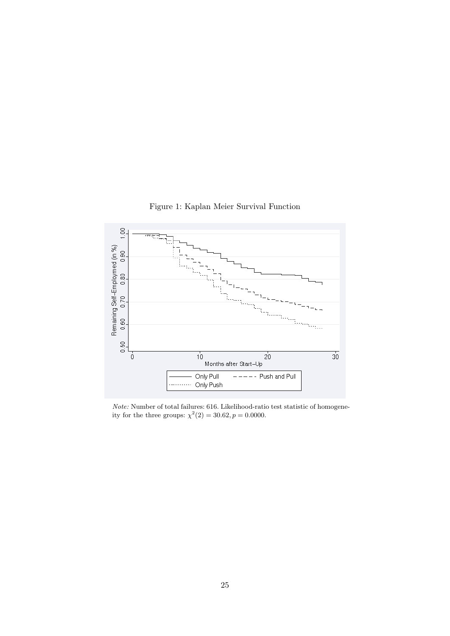



Note: Number of total failures: 616. Likelihood-ratio test statistic of homogeneity for the three groups:  $\chi^2(2) = 30.62, p = 0.0000$ .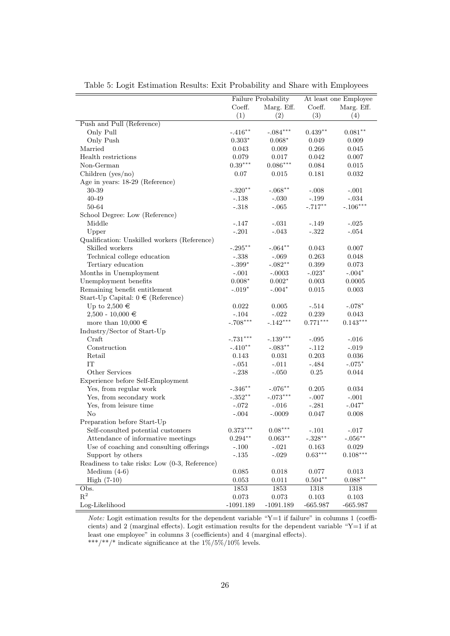|                                               |                        | Failure Probability |            | At least one Employee |
|-----------------------------------------------|------------------------|---------------------|------------|-----------------------|
|                                               | Coeff.                 | Marg. Eff.          | Coeff.     | Marg. Eff.            |
|                                               | (1)                    | (2)                 | (3)        | (4)                   |
| Push and Pull (Reference)                     |                        |                     |            |                       |
| Only Pull                                     | $-.416**$              | $-.084***$          | $0.439**$  | $0.081**$             |
| Only Push                                     | $0.303*$               | $0.068*$            | 0.049      | 0.009                 |
| Married                                       | 0.043                  | 0.009               | 0.266      | 0.045                 |
| Health restrictions                           | 0.079                  | 0.017               | 0.042      | 0.007                 |
| Non-German                                    | $0.39^{\ast\ast\ast}$  | $0.086***$          | 0.084      | 0.015                 |
| Children ( $yes/no)$                          | 0.07                   | 0.015               | 0.181      | 0.032                 |
| Age in years: 18-29 (Reference)               |                        |                     |            |                       |
| 30-39                                         | $-.320**$              | $-.068**$           | $-.008$    | $-.001$               |
| 40-49                                         | $-.138$                | $-.030$             | $-.199$    | $-.034$               |
| 50-64                                         | $-.318$                | $-.065$             | $-.717**$  | $-.106***$            |
| School Degree: Low (Reference)                |                        |                     |            |                       |
| Middle                                        | $-.147$                | $-.031$             | $-.149$    | $-.025$               |
| Upper                                         | $-.201$                | $-.043$             | $-.322$    | $-.054$               |
| Qualification: Unskilled workers (Reference)  |                        |                     |            |                       |
| Skilled workers                               | $-.295***$             | $-.064**$           | 0.043      | 0.007                 |
| Technical college education                   | $-.338$                | $-.069$             | 0.263      | 0.048                 |
| Tertiary education                            | $-.399*$               | $-.082**$           | 0.399      | 0.073                 |
| Months in Unemployment                        | $-.001$                | $-.0003$            | $-.023*$   | $-.004*$              |
| Unemployment benefits                         | $0.008*$               | $0.002*$            | 0.003      | 0.0005                |
| Remaining benefit entitlement                 | $-.019*$               | $-.004*$            | 0.015      | 0.003                 |
| Start-Up Capital: $0 \in (Reference)$         |                        |                     |            |                       |
| Up to $2,500 \in$                             | 0.022                  | 0.005               | $-.514$    | $-.078*$              |
| $2,500 - 10,000 \in$                          | $-.104$                | $-.022$             | $0.239\,$  | $\,0.043\,$           |
| more than $10,000 \in$                        | $-.708***$             | $-.142***$          | $0.771***$ | $0.143***$            |
| Industry/Sector of Start-Up                   |                        |                     |            |                       |
| Craft                                         | $-.731***$             | $-.139***$          | $-.095$    | $-.016$               |
| Construction                                  | $-.410**$              | $-.083**$           | $-.112$    | $-.019$               |
| Retail                                        | 0.143                  | 0.031               | 0.203      | 0.036                 |
| IT                                            | $-.051$                | $-.011$             | $-.484$    | $-.075*$              |
| Other Services                                | $-.238$                | $-.050$             | 0.25       | 0.044                 |
| Experience before Self-Employment             |                        |                     |            |                       |
| Yes, from regular work                        | $-.346***$             | $-.076***$          | 0.205      | 0.034                 |
| Yes, from secondary work                      | $-.352^{**}$           | $-.073***$          | $-.007$    | $-.001$               |
| Yes, from leisure time                        | $-.072$                | $-.016$             | $-.281$    | $-.047*$              |
| No                                            | $-.004$                | $-.0009$            | 0.047      | 0.008                 |
| Preparation before Start-Up                   |                        |                     |            |                       |
| Self-consulted potential customers            | $0.373^{\ast\ast\ast}$ | $0.08***$           | $-.101$    | $-.017$               |
| Attendance of informative meetings            | $0.294**$              | $0.063**$           | $-.328**$  | $-.056***$            |
| Use of coaching and consulting offerings      | $-.100$                | $-.021$             | 0.163      | $\,0.029\,$           |
| Support by others                             | $-.135$                | $-.029$             | $0.63***$  | $0.108***$            |
| Readiness to take risks: Low (0-3, Reference) |                        |                     |            |                       |
| Medium $(4-6)$                                | 0.085                  | 0.018               | 0.077      | 0.013                 |
| $High (7-10)$                                 | 0.053                  | 0.011               | $0.504***$ | $0.088**$             |
| Obs.                                          | 1853                   | 1853                | 1318       | 1318                  |
| $\mathbf{R}^2$                                | 0.073                  | $\,0.073\,$         | 0.103      | 0.103                 |
| Log-Likelihood                                | $-1091.189$            | $-1091.189$         | $-665.987$ | $-665.987$            |

Table 5: Logit Estimation Results: Exit Probability and Share with Employees

Note: Logit estimation results for the dependent variable "Y=1 if failure" in columns 1 (coefficients) and 2 (marginal effects). Logit estimation results for the dependent variable "Y=1 if at least one employee" in columns 3 (coefficients) and 4 (marginal effects).

 $^{***}/{^{**}}/^{*}$  indicate significance at the  $1\%/5\%/10\%$  levels.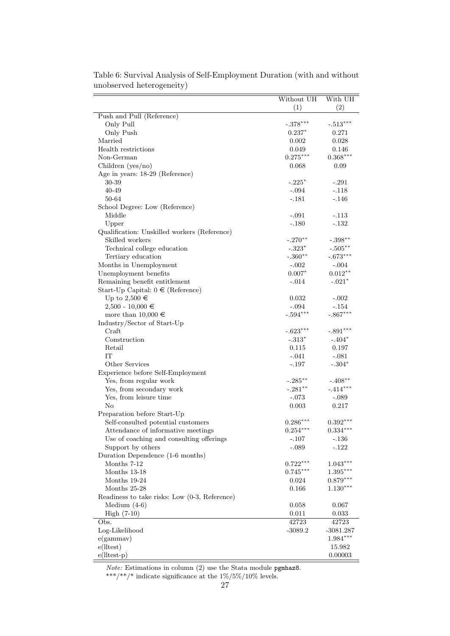|                                               | Without UH     | With UH                |
|-----------------------------------------------|----------------|------------------------|
|                                               | (1)            | (2)                    |
| Push and Pull (Reference)                     |                |                        |
| Only Pull                                     | $-.378***$     | $-.513***$             |
| Only Push                                     | $0.237*$       | 0.271                  |
| Married                                       | 0.002          | 0.028                  |
| Health restrictions                           | 0.049          | 0.146                  |
| Non-German                                    | $0.275***$     | $0.368^{\ast\ast\ast}$ |
| Children (yes/no)                             | 0.068          | 0.09                   |
| Age in years: 18-29 (Reference)               |                |                        |
| 30-39                                         | $-.225*$       | $-.291$                |
| 40-49                                         | $-.094$        | $-.118$                |
| 50-64                                         | $-.181$        | $-.146$                |
| School Degree: Low (Reference)                |                |                        |
| Middle                                        | $-.091$        | $-.113$                |
| Upper                                         | $-.180$        | $-.132$                |
| Qualification: Unskilled workers (Reference)  |                |                        |
| Skilled workers                               | $-.270**$      | $-.398***$             |
| Technical college education                   | $-.323*$       | $-.505***$             |
| Tertiary education                            | $-.360**$      | $-.673***$             |
| Months in Unemployment                        | $-.002$        | $-.004$                |
| Unemployment benefits                         | $0.007*$       | $0.012**$              |
| Remaining benefit entitlement                 | $-.014$        | $-.021*$               |
| Start-Up Capital: $0 \in (Reference)$         |                |                        |
| Up to $2,500 \in$                             | 0.032          | $-.002$                |
| $2,500 - 10,000 \in$                          | $-.094$        | $-.154$                |
| more than $10,000 \in$                        | $-.594***$     | $-.867***$             |
| Industry/Sector of Start-Up                   |                |                        |
| Craft                                         | $-.623***$     | $-.891***$             |
| Construction                                  | $-.313*$       | $-.404*$               |
| Retail                                        | 0.115          | 0.197                  |
| IT                                            | $-.041$        | $-.081$                |
| Other Services                                | $-.197$        | $-.304*$               |
| Experience before Self-Employment             |                |                        |
| Yes, from regular work                        | $-.285***$     | $-.408**$              |
| Yes, from secondary work                      | $-.281***$     | $-.414***$             |
| Yes, from leisure time                        | $-.073$        | $-.089$                |
| No                                            | 0.003          | 0.217                  |
| Preparation before Start-Up                   |                |                        |
| Self-consulted potential customers            | $0.286***$     | $0.392***$             |
| Attendance of informative meetings            | $0.254***$     | $0.334***$             |
| Use of coaching and consulting offerings      | $-.107$        | $-.136$                |
| Support by others                             | $-.089$        | $-.122$                |
| Duration Dependence (1-6 months)              |                |                        |
| Months 7-12                                   | $0.722***$     | $1.043***$             |
| Months 13-18                                  | $0.745***$     | $1.395^{\ast\ast\ast}$ |
| Months 19-24                                  | 0.024          | $0.879***$             |
| Months 25-28                                  | 0.166          | $1.130***$             |
| Readiness to take risks: Low (0-3, Reference) |                |                        |
|                                               | 0.058          | 0.067                  |
| Medium $(4-6)$<br>High $(7-10)$               |                |                        |
| Obs.                                          | 0.011<br>42723 | 0.033                  |
|                                               |                | 42723                  |
| Log-Likelihood                                | $-3089.2$      | $-3081.287$            |
| e(gammax)                                     |                | $1.984***$             |
| $e($ <i>lltest</i> $)$                        |                | 15.982                 |
| $e(ltest-p)$                                  |                | 0.00003                |

Table 6: Survival Analysis of Self-Employment Duration (with and without unobserved heterogeneity)

Note: Estimations in column (2) use the Stata module pgmhaz8.

\*\*\*/\*\*/\* indicate significance at the  $1\%/5\%/10\%$  levels.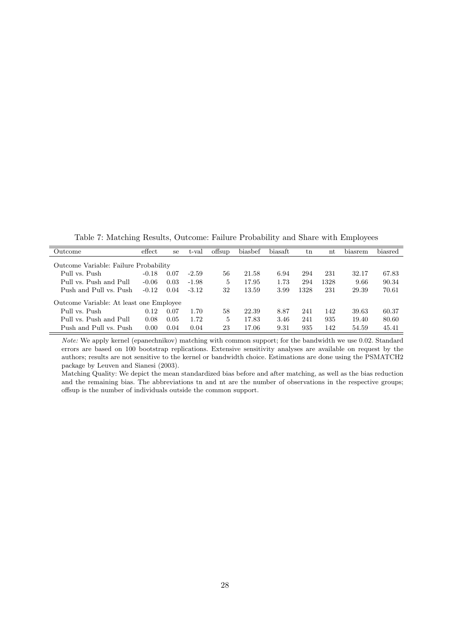Table 7: Matching Results, Outcome: Failure Probability and Share with Employees

| Outcome                                 | $\theta$ effect | se   | t-val   | offsup | biasbef | biasaft | $_{\rm tn}$ | nt   | biasrem | biasred |
|-----------------------------------------|-----------------|------|---------|--------|---------|---------|-------------|------|---------|---------|
| Outcome Variable: Failure Probability   |                 |      |         |        |         |         |             |      |         |         |
| Pull vs. Push                           | $-0.18$         | 0.07 | $-2.59$ | 56     | 21.58   | 6.94    | 294         | 231  | 32.17   | 67.83   |
| Pull vs. Push and Pull                  | $-0.06$         | 0.03 | $-1.98$ | 5      | 17.95   | 1.73    | 294         | 1328 | 9.66    | 90.34   |
| Push and Pull vs. Push                  | $-0.12$         | 0.04 | $-3.12$ | 32     | 13.59   | 3.99    | 1328        | 231  | 29.39   | 70.61   |
| Outcome Variable: At least one Employee |                 |      |         |        |         |         |             |      |         |         |
| Pull vs. Push                           | 0.12            | 0.07 | 1.70    | 58     | 22.39   | 8.87    | 241         | 142  | 39.63   | 60.37   |
| Pull vs. Push and Pull                  | 0.08            | 0.05 | 1.72    | 5      | 17.83   | 3.46    | 241         | 935  | 19.40   | 80.60   |
| Push and Pull vs. Push                  | 0.00            | 0.04 | 0.04    | 23     | 17.06   | 9.31    | 935         | 142  | 54.59   | 45.41   |

Note: We apply kernel (epanechnikov) matching with common support; for the bandwidth we use 0.02. Standard errors are based on 100 bootstrap replications. Extensive sensitivity analyses are available on request by the authors; results are not sensitive to the kernel or bandwidth choice. Estimations are done using the PSMATCH2 package by Leuven and Sianesi (2003).

Matching Quality: We depict the mean standardized bias before and after matching, as well as the bias reduction and the remaining bias. The abbreviations tn and nt are the number of observations in the respective groups; offsup is the number of individuals outside the common support.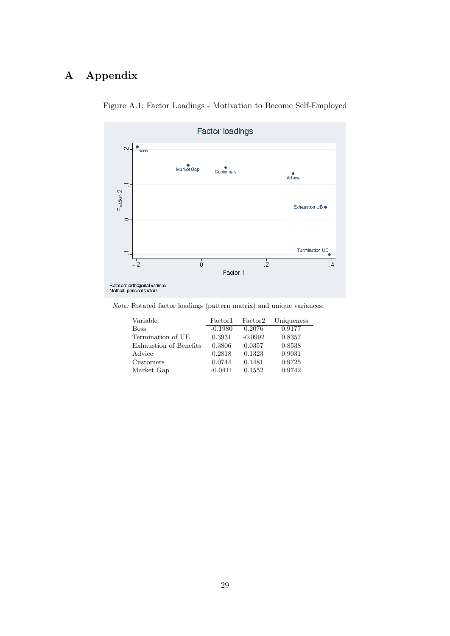# A Appendix



Figure A.1: Factor Loadings - Motivation to Become Self-Employed

Note: Rotated factor loadings (pattern matrix) and unique variances:

| Variable               | Factor1   | Factor2   | Uniqueness |
|------------------------|-----------|-----------|------------|
| <b>Boss</b>            | $-0.1980$ | 0.2076    | 0.9177     |
| Termination of UE      | 0.3931    | $-0.0992$ | 0.8357     |
| Exhaustion of Benefits | 0.3806    | 0.0357    | 0.8538     |
| Advice                 | 0.2818    | 0.1323    | 0.9031     |
| Customers              | 0.0744    | 0.1481    | 0.9725     |
| Market Gap             | $-0.0411$ | 0.1552    | 0.9742     |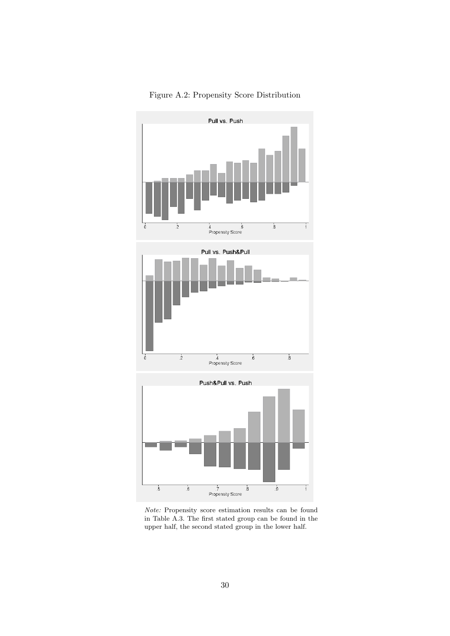

Figure A.2: Propensity Score Distribution

Note: Propensity score estimation results can be found in Table A.3. The first stated group can be found in the upper half, the second stated group in the lower half.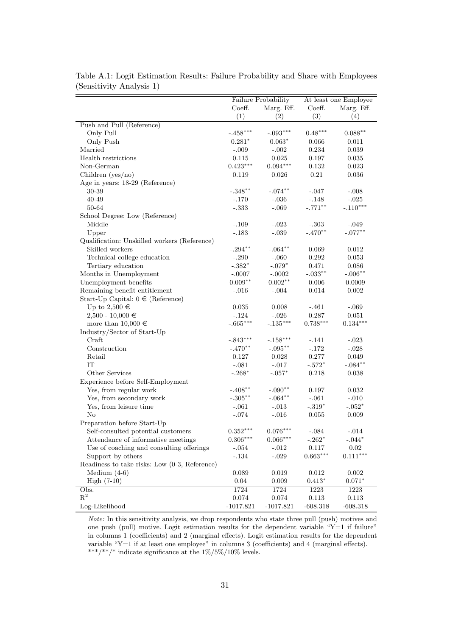| Coeff.<br>Marg. Eff.<br>Coeff.<br>Marg. Eff.<br>(1)<br>(3)<br>(2)<br>(4)<br>Push and Pull (Reference)<br>$-.458***$<br>$-.093***$<br>$0.48***$<br>$0.088**$<br>Only Pull<br>Only Push<br>$0.063*$<br>$0.281*$<br>0.066<br>0.011<br>Married<br>$-.009$<br>$-.002$<br>0.234<br>0.039<br>Health restrictions<br>0.115<br>0.025<br>0.197<br>0.035<br>$0.423***$<br>$0.094***$<br>Non-German<br>0.132<br>0.023<br>$\rm 0.21$<br>Children ( $yes/no)$<br>0.036<br>0.119<br>0.026<br>Age in years: 18-29 (Reference)<br>$-.348**$<br>$-.074**$<br>30-39<br>$-.047$<br>$-.008$<br>40-49<br>$-.036$<br>$-.148$<br>$-.025$<br>$-.170$<br>$-.110***$<br>$-.069$<br>$-.771**$<br>50-64<br>$-.333$<br>School Degree: Low (Reference)<br>Middle<br>$-.023$<br>$-.109$<br>$-.303$<br>$-.049$<br>$-.470**$<br>$-.077***$<br>$-.183$<br>$-.039$<br>Upper<br>Qualification: Unskilled workers (Reference)<br>Skilled workers<br>$-.294***$<br>$-.064**$<br>0.069<br>0.012<br>Technical college education<br>$-.290$<br>$-.060$<br>0.292<br>0.053<br>$-.382*$<br>$-.079*$<br>0.471<br>Tertiary education<br>0.086<br>$-.033**$<br>Months in Unemployment<br>$-.0002$<br>$-.006**$<br>$-.0007$<br>$0.009**$<br>$0.002**$<br>Unemployment benefits<br>$0.006\,$<br>0.0009<br>Remaining benefit entitlement<br>$-.016$<br>$-.004$<br>0.014<br>0.002<br>Start-Up Capital: $0 \in (Reference)$<br>Up to 2,500 $\in$<br>0.035<br>0.008<br>$-.461$<br>$-.069$<br>0.287<br>$2,500 - 10,000 \in$<br>$-.124$<br>$-.026$<br>0.051<br>$-.665***$<br>$-.135***$<br>$0.738***$<br>$0.134***$<br>more than $10,000 \in$<br>Industry/Sector of Start-Up<br>Craft<br>$-.843***$<br>$-.158***$<br>$-.141$<br>$-.023$<br>$-.172$<br>$-.028$<br>Construction<br>$-.095***$<br>$-.470**$<br>0.277<br>Retail<br>0.127<br>0.028<br>0.049<br>IT<br>$-.572*$<br>$-.081$<br>$-.017$<br>$-.084**$<br>$-.057*$<br>Other Services<br>$-.268*$<br>0.218<br>0.038<br>Experience before Self-Employment<br>Yes, from regular work<br>$-.408**$<br>$-.090**$<br>0.197<br>0.032<br>$-.064**$<br>Yes, from secondary work<br>$-.305***$<br>$-.061$<br>$-.010$<br>$-.319*$<br>Yes, from leisure time<br>$-.013$<br>$-.052*$<br>$-.061$<br>No<br>$-.074$<br>$-.016$<br>0.055<br>0.009<br>Preparation before Start-Up<br>$0.352^{\ast\ast\ast}$<br>$0.076^{\ast\ast\ast}$<br>Self-consulted potential customers<br>$^{\text{{\small -}}.084}$<br>$-.014$<br>$0.306***$<br>$0.066***$<br>Attendance of informative meetings<br>$-.262*$<br>$-.044*$<br>Use of coaching and consulting offerings<br>0.02<br>$-.054$<br>$-.012$<br>0.117<br>$0.663^{\ast\ast\ast}$<br>$0.111***$<br>Support by others<br>$-.029$<br>$-.134$<br>Readiness to take risks: Low (0-3, Reference)<br>Medium $(4-6)$<br>0.089<br>0.019<br>0.012<br>0.002<br>High $(7-10)$<br>0.04<br>$0.413*$<br>$0.071*$<br>0.009<br>Obs.<br>1724<br>1724<br>1223<br>1223<br>$R^2$<br>$0.074\,$<br>$0.074\,$<br>0.113<br>0.113 |                |                     |             | At least one Employee |            |  |
|-------------------------------------------------------------------------------------------------------------------------------------------------------------------------------------------------------------------------------------------------------------------------------------------------------------------------------------------------------------------------------------------------------------------------------------------------------------------------------------------------------------------------------------------------------------------------------------------------------------------------------------------------------------------------------------------------------------------------------------------------------------------------------------------------------------------------------------------------------------------------------------------------------------------------------------------------------------------------------------------------------------------------------------------------------------------------------------------------------------------------------------------------------------------------------------------------------------------------------------------------------------------------------------------------------------------------------------------------------------------------------------------------------------------------------------------------------------------------------------------------------------------------------------------------------------------------------------------------------------------------------------------------------------------------------------------------------------------------------------------------------------------------------------------------------------------------------------------------------------------------------------------------------------------------------------------------------------------------------------------------------------------------------------------------------------------------------------------------------------------------------------------------------------------------------------------------------------------------------------------------------------------------------------------------------------------------------------------------------------------------------------------------------------------------------------------------------------------------------------------------------------------------------------------------------------------------------------------------------------------------------------------------------------------------------------------------------------------------------------------------------------------------------------------------------------------------------------------------------------------------------------------------------------------------------|----------------|---------------------|-------------|-----------------------|------------|--|
|                                                                                                                                                                                                                                                                                                                                                                                                                                                                                                                                                                                                                                                                                                                                                                                                                                                                                                                                                                                                                                                                                                                                                                                                                                                                                                                                                                                                                                                                                                                                                                                                                                                                                                                                                                                                                                                                                                                                                                                                                                                                                                                                                                                                                                                                                                                                                                                                                                                                                                                                                                                                                                                                                                                                                                                                                                                                                                                               |                | Failure Probability |             |                       |            |  |
|                                                                                                                                                                                                                                                                                                                                                                                                                                                                                                                                                                                                                                                                                                                                                                                                                                                                                                                                                                                                                                                                                                                                                                                                                                                                                                                                                                                                                                                                                                                                                                                                                                                                                                                                                                                                                                                                                                                                                                                                                                                                                                                                                                                                                                                                                                                                                                                                                                                                                                                                                                                                                                                                                                                                                                                                                                                                                                                               |                |                     |             |                       |            |  |
|                                                                                                                                                                                                                                                                                                                                                                                                                                                                                                                                                                                                                                                                                                                                                                                                                                                                                                                                                                                                                                                                                                                                                                                                                                                                                                                                                                                                                                                                                                                                                                                                                                                                                                                                                                                                                                                                                                                                                                                                                                                                                                                                                                                                                                                                                                                                                                                                                                                                                                                                                                                                                                                                                                                                                                                                                                                                                                                               |                |                     |             |                       |            |  |
|                                                                                                                                                                                                                                                                                                                                                                                                                                                                                                                                                                                                                                                                                                                                                                                                                                                                                                                                                                                                                                                                                                                                                                                                                                                                                                                                                                                                                                                                                                                                                                                                                                                                                                                                                                                                                                                                                                                                                                                                                                                                                                                                                                                                                                                                                                                                                                                                                                                                                                                                                                                                                                                                                                                                                                                                                                                                                                                               |                |                     |             |                       |            |  |
|                                                                                                                                                                                                                                                                                                                                                                                                                                                                                                                                                                                                                                                                                                                                                                                                                                                                                                                                                                                                                                                                                                                                                                                                                                                                                                                                                                                                                                                                                                                                                                                                                                                                                                                                                                                                                                                                                                                                                                                                                                                                                                                                                                                                                                                                                                                                                                                                                                                                                                                                                                                                                                                                                                                                                                                                                                                                                                                               |                |                     |             |                       |            |  |
|                                                                                                                                                                                                                                                                                                                                                                                                                                                                                                                                                                                                                                                                                                                                                                                                                                                                                                                                                                                                                                                                                                                                                                                                                                                                                                                                                                                                                                                                                                                                                                                                                                                                                                                                                                                                                                                                                                                                                                                                                                                                                                                                                                                                                                                                                                                                                                                                                                                                                                                                                                                                                                                                                                                                                                                                                                                                                                                               |                |                     |             |                       |            |  |
|                                                                                                                                                                                                                                                                                                                                                                                                                                                                                                                                                                                                                                                                                                                                                                                                                                                                                                                                                                                                                                                                                                                                                                                                                                                                                                                                                                                                                                                                                                                                                                                                                                                                                                                                                                                                                                                                                                                                                                                                                                                                                                                                                                                                                                                                                                                                                                                                                                                                                                                                                                                                                                                                                                                                                                                                                                                                                                                               |                |                     |             |                       |            |  |
|                                                                                                                                                                                                                                                                                                                                                                                                                                                                                                                                                                                                                                                                                                                                                                                                                                                                                                                                                                                                                                                                                                                                                                                                                                                                                                                                                                                                                                                                                                                                                                                                                                                                                                                                                                                                                                                                                                                                                                                                                                                                                                                                                                                                                                                                                                                                                                                                                                                                                                                                                                                                                                                                                                                                                                                                                                                                                                                               |                |                     |             |                       |            |  |
|                                                                                                                                                                                                                                                                                                                                                                                                                                                                                                                                                                                                                                                                                                                                                                                                                                                                                                                                                                                                                                                                                                                                                                                                                                                                                                                                                                                                                                                                                                                                                                                                                                                                                                                                                                                                                                                                                                                                                                                                                                                                                                                                                                                                                                                                                                                                                                                                                                                                                                                                                                                                                                                                                                                                                                                                                                                                                                                               |                |                     |             |                       |            |  |
|                                                                                                                                                                                                                                                                                                                                                                                                                                                                                                                                                                                                                                                                                                                                                                                                                                                                                                                                                                                                                                                                                                                                                                                                                                                                                                                                                                                                                                                                                                                                                                                                                                                                                                                                                                                                                                                                                                                                                                                                                                                                                                                                                                                                                                                                                                                                                                                                                                                                                                                                                                                                                                                                                                                                                                                                                                                                                                                               |                |                     |             |                       |            |  |
|                                                                                                                                                                                                                                                                                                                                                                                                                                                                                                                                                                                                                                                                                                                                                                                                                                                                                                                                                                                                                                                                                                                                                                                                                                                                                                                                                                                                                                                                                                                                                                                                                                                                                                                                                                                                                                                                                                                                                                                                                                                                                                                                                                                                                                                                                                                                                                                                                                                                                                                                                                                                                                                                                                                                                                                                                                                                                                                               |                |                     |             |                       |            |  |
|                                                                                                                                                                                                                                                                                                                                                                                                                                                                                                                                                                                                                                                                                                                                                                                                                                                                                                                                                                                                                                                                                                                                                                                                                                                                                                                                                                                                                                                                                                                                                                                                                                                                                                                                                                                                                                                                                                                                                                                                                                                                                                                                                                                                                                                                                                                                                                                                                                                                                                                                                                                                                                                                                                                                                                                                                                                                                                                               |                |                     |             |                       |            |  |
|                                                                                                                                                                                                                                                                                                                                                                                                                                                                                                                                                                                                                                                                                                                                                                                                                                                                                                                                                                                                                                                                                                                                                                                                                                                                                                                                                                                                                                                                                                                                                                                                                                                                                                                                                                                                                                                                                                                                                                                                                                                                                                                                                                                                                                                                                                                                                                                                                                                                                                                                                                                                                                                                                                                                                                                                                                                                                                                               |                |                     |             |                       |            |  |
|                                                                                                                                                                                                                                                                                                                                                                                                                                                                                                                                                                                                                                                                                                                                                                                                                                                                                                                                                                                                                                                                                                                                                                                                                                                                                                                                                                                                                                                                                                                                                                                                                                                                                                                                                                                                                                                                                                                                                                                                                                                                                                                                                                                                                                                                                                                                                                                                                                                                                                                                                                                                                                                                                                                                                                                                                                                                                                                               |                |                     |             |                       |            |  |
|                                                                                                                                                                                                                                                                                                                                                                                                                                                                                                                                                                                                                                                                                                                                                                                                                                                                                                                                                                                                                                                                                                                                                                                                                                                                                                                                                                                                                                                                                                                                                                                                                                                                                                                                                                                                                                                                                                                                                                                                                                                                                                                                                                                                                                                                                                                                                                                                                                                                                                                                                                                                                                                                                                                                                                                                                                                                                                                               |                |                     |             |                       |            |  |
|                                                                                                                                                                                                                                                                                                                                                                                                                                                                                                                                                                                                                                                                                                                                                                                                                                                                                                                                                                                                                                                                                                                                                                                                                                                                                                                                                                                                                                                                                                                                                                                                                                                                                                                                                                                                                                                                                                                                                                                                                                                                                                                                                                                                                                                                                                                                                                                                                                                                                                                                                                                                                                                                                                                                                                                                                                                                                                                               |                |                     |             |                       |            |  |
|                                                                                                                                                                                                                                                                                                                                                                                                                                                                                                                                                                                                                                                                                                                                                                                                                                                                                                                                                                                                                                                                                                                                                                                                                                                                                                                                                                                                                                                                                                                                                                                                                                                                                                                                                                                                                                                                                                                                                                                                                                                                                                                                                                                                                                                                                                                                                                                                                                                                                                                                                                                                                                                                                                                                                                                                                                                                                                                               |                |                     |             |                       |            |  |
|                                                                                                                                                                                                                                                                                                                                                                                                                                                                                                                                                                                                                                                                                                                                                                                                                                                                                                                                                                                                                                                                                                                                                                                                                                                                                                                                                                                                                                                                                                                                                                                                                                                                                                                                                                                                                                                                                                                                                                                                                                                                                                                                                                                                                                                                                                                                                                                                                                                                                                                                                                                                                                                                                                                                                                                                                                                                                                                               |                |                     |             |                       |            |  |
|                                                                                                                                                                                                                                                                                                                                                                                                                                                                                                                                                                                                                                                                                                                                                                                                                                                                                                                                                                                                                                                                                                                                                                                                                                                                                                                                                                                                                                                                                                                                                                                                                                                                                                                                                                                                                                                                                                                                                                                                                                                                                                                                                                                                                                                                                                                                                                                                                                                                                                                                                                                                                                                                                                                                                                                                                                                                                                                               |                |                     |             |                       |            |  |
|                                                                                                                                                                                                                                                                                                                                                                                                                                                                                                                                                                                                                                                                                                                                                                                                                                                                                                                                                                                                                                                                                                                                                                                                                                                                                                                                                                                                                                                                                                                                                                                                                                                                                                                                                                                                                                                                                                                                                                                                                                                                                                                                                                                                                                                                                                                                                                                                                                                                                                                                                                                                                                                                                                                                                                                                                                                                                                                               |                |                     |             |                       |            |  |
|                                                                                                                                                                                                                                                                                                                                                                                                                                                                                                                                                                                                                                                                                                                                                                                                                                                                                                                                                                                                                                                                                                                                                                                                                                                                                                                                                                                                                                                                                                                                                                                                                                                                                                                                                                                                                                                                                                                                                                                                                                                                                                                                                                                                                                                                                                                                                                                                                                                                                                                                                                                                                                                                                                                                                                                                                                                                                                                               |                |                     |             |                       |            |  |
|                                                                                                                                                                                                                                                                                                                                                                                                                                                                                                                                                                                                                                                                                                                                                                                                                                                                                                                                                                                                                                                                                                                                                                                                                                                                                                                                                                                                                                                                                                                                                                                                                                                                                                                                                                                                                                                                                                                                                                                                                                                                                                                                                                                                                                                                                                                                                                                                                                                                                                                                                                                                                                                                                                                                                                                                                                                                                                                               |                |                     |             |                       |            |  |
|                                                                                                                                                                                                                                                                                                                                                                                                                                                                                                                                                                                                                                                                                                                                                                                                                                                                                                                                                                                                                                                                                                                                                                                                                                                                                                                                                                                                                                                                                                                                                                                                                                                                                                                                                                                                                                                                                                                                                                                                                                                                                                                                                                                                                                                                                                                                                                                                                                                                                                                                                                                                                                                                                                                                                                                                                                                                                                                               |                |                     |             |                       |            |  |
|                                                                                                                                                                                                                                                                                                                                                                                                                                                                                                                                                                                                                                                                                                                                                                                                                                                                                                                                                                                                                                                                                                                                                                                                                                                                                                                                                                                                                                                                                                                                                                                                                                                                                                                                                                                                                                                                                                                                                                                                                                                                                                                                                                                                                                                                                                                                                                                                                                                                                                                                                                                                                                                                                                                                                                                                                                                                                                                               |                |                     |             |                       |            |  |
|                                                                                                                                                                                                                                                                                                                                                                                                                                                                                                                                                                                                                                                                                                                                                                                                                                                                                                                                                                                                                                                                                                                                                                                                                                                                                                                                                                                                                                                                                                                                                                                                                                                                                                                                                                                                                                                                                                                                                                                                                                                                                                                                                                                                                                                                                                                                                                                                                                                                                                                                                                                                                                                                                                                                                                                                                                                                                                                               |                |                     |             |                       |            |  |
|                                                                                                                                                                                                                                                                                                                                                                                                                                                                                                                                                                                                                                                                                                                                                                                                                                                                                                                                                                                                                                                                                                                                                                                                                                                                                                                                                                                                                                                                                                                                                                                                                                                                                                                                                                                                                                                                                                                                                                                                                                                                                                                                                                                                                                                                                                                                                                                                                                                                                                                                                                                                                                                                                                                                                                                                                                                                                                                               |                |                     |             |                       |            |  |
|                                                                                                                                                                                                                                                                                                                                                                                                                                                                                                                                                                                                                                                                                                                                                                                                                                                                                                                                                                                                                                                                                                                                                                                                                                                                                                                                                                                                                                                                                                                                                                                                                                                                                                                                                                                                                                                                                                                                                                                                                                                                                                                                                                                                                                                                                                                                                                                                                                                                                                                                                                                                                                                                                                                                                                                                                                                                                                                               |                |                     |             |                       |            |  |
|                                                                                                                                                                                                                                                                                                                                                                                                                                                                                                                                                                                                                                                                                                                                                                                                                                                                                                                                                                                                                                                                                                                                                                                                                                                                                                                                                                                                                                                                                                                                                                                                                                                                                                                                                                                                                                                                                                                                                                                                                                                                                                                                                                                                                                                                                                                                                                                                                                                                                                                                                                                                                                                                                                                                                                                                                                                                                                                               |                |                     |             |                       |            |  |
|                                                                                                                                                                                                                                                                                                                                                                                                                                                                                                                                                                                                                                                                                                                                                                                                                                                                                                                                                                                                                                                                                                                                                                                                                                                                                                                                                                                                                                                                                                                                                                                                                                                                                                                                                                                                                                                                                                                                                                                                                                                                                                                                                                                                                                                                                                                                                                                                                                                                                                                                                                                                                                                                                                                                                                                                                                                                                                                               |                |                     |             |                       |            |  |
|                                                                                                                                                                                                                                                                                                                                                                                                                                                                                                                                                                                                                                                                                                                                                                                                                                                                                                                                                                                                                                                                                                                                                                                                                                                                                                                                                                                                                                                                                                                                                                                                                                                                                                                                                                                                                                                                                                                                                                                                                                                                                                                                                                                                                                                                                                                                                                                                                                                                                                                                                                                                                                                                                                                                                                                                                                                                                                                               |                |                     |             |                       |            |  |
|                                                                                                                                                                                                                                                                                                                                                                                                                                                                                                                                                                                                                                                                                                                                                                                                                                                                                                                                                                                                                                                                                                                                                                                                                                                                                                                                                                                                                                                                                                                                                                                                                                                                                                                                                                                                                                                                                                                                                                                                                                                                                                                                                                                                                                                                                                                                                                                                                                                                                                                                                                                                                                                                                                                                                                                                                                                                                                                               |                |                     |             |                       |            |  |
|                                                                                                                                                                                                                                                                                                                                                                                                                                                                                                                                                                                                                                                                                                                                                                                                                                                                                                                                                                                                                                                                                                                                                                                                                                                                                                                                                                                                                                                                                                                                                                                                                                                                                                                                                                                                                                                                                                                                                                                                                                                                                                                                                                                                                                                                                                                                                                                                                                                                                                                                                                                                                                                                                                                                                                                                                                                                                                                               |                |                     |             |                       |            |  |
|                                                                                                                                                                                                                                                                                                                                                                                                                                                                                                                                                                                                                                                                                                                                                                                                                                                                                                                                                                                                                                                                                                                                                                                                                                                                                                                                                                                                                                                                                                                                                                                                                                                                                                                                                                                                                                                                                                                                                                                                                                                                                                                                                                                                                                                                                                                                                                                                                                                                                                                                                                                                                                                                                                                                                                                                                                                                                                                               |                |                     |             |                       |            |  |
|                                                                                                                                                                                                                                                                                                                                                                                                                                                                                                                                                                                                                                                                                                                                                                                                                                                                                                                                                                                                                                                                                                                                                                                                                                                                                                                                                                                                                                                                                                                                                                                                                                                                                                                                                                                                                                                                                                                                                                                                                                                                                                                                                                                                                                                                                                                                                                                                                                                                                                                                                                                                                                                                                                                                                                                                                                                                                                                               |                |                     |             |                       |            |  |
|                                                                                                                                                                                                                                                                                                                                                                                                                                                                                                                                                                                                                                                                                                                                                                                                                                                                                                                                                                                                                                                                                                                                                                                                                                                                                                                                                                                                                                                                                                                                                                                                                                                                                                                                                                                                                                                                                                                                                                                                                                                                                                                                                                                                                                                                                                                                                                                                                                                                                                                                                                                                                                                                                                                                                                                                                                                                                                                               |                |                     |             |                       |            |  |
|                                                                                                                                                                                                                                                                                                                                                                                                                                                                                                                                                                                                                                                                                                                                                                                                                                                                                                                                                                                                                                                                                                                                                                                                                                                                                                                                                                                                                                                                                                                                                                                                                                                                                                                                                                                                                                                                                                                                                                                                                                                                                                                                                                                                                                                                                                                                                                                                                                                                                                                                                                                                                                                                                                                                                                                                                                                                                                                               |                |                     |             |                       |            |  |
|                                                                                                                                                                                                                                                                                                                                                                                                                                                                                                                                                                                                                                                                                                                                                                                                                                                                                                                                                                                                                                                                                                                                                                                                                                                                                                                                                                                                                                                                                                                                                                                                                                                                                                                                                                                                                                                                                                                                                                                                                                                                                                                                                                                                                                                                                                                                                                                                                                                                                                                                                                                                                                                                                                                                                                                                                                                                                                                               |                |                     |             |                       |            |  |
|                                                                                                                                                                                                                                                                                                                                                                                                                                                                                                                                                                                                                                                                                                                                                                                                                                                                                                                                                                                                                                                                                                                                                                                                                                                                                                                                                                                                                                                                                                                                                                                                                                                                                                                                                                                                                                                                                                                                                                                                                                                                                                                                                                                                                                                                                                                                                                                                                                                                                                                                                                                                                                                                                                                                                                                                                                                                                                                               |                |                     |             |                       |            |  |
|                                                                                                                                                                                                                                                                                                                                                                                                                                                                                                                                                                                                                                                                                                                                                                                                                                                                                                                                                                                                                                                                                                                                                                                                                                                                                                                                                                                                                                                                                                                                                                                                                                                                                                                                                                                                                                                                                                                                                                                                                                                                                                                                                                                                                                                                                                                                                                                                                                                                                                                                                                                                                                                                                                                                                                                                                                                                                                                               |                |                     |             |                       |            |  |
|                                                                                                                                                                                                                                                                                                                                                                                                                                                                                                                                                                                                                                                                                                                                                                                                                                                                                                                                                                                                                                                                                                                                                                                                                                                                                                                                                                                                                                                                                                                                                                                                                                                                                                                                                                                                                                                                                                                                                                                                                                                                                                                                                                                                                                                                                                                                                                                                                                                                                                                                                                                                                                                                                                                                                                                                                                                                                                                               |                |                     |             |                       |            |  |
|                                                                                                                                                                                                                                                                                                                                                                                                                                                                                                                                                                                                                                                                                                                                                                                                                                                                                                                                                                                                                                                                                                                                                                                                                                                                                                                                                                                                                                                                                                                                                                                                                                                                                                                                                                                                                                                                                                                                                                                                                                                                                                                                                                                                                                                                                                                                                                                                                                                                                                                                                                                                                                                                                                                                                                                                                                                                                                                               |                |                     |             |                       |            |  |
|                                                                                                                                                                                                                                                                                                                                                                                                                                                                                                                                                                                                                                                                                                                                                                                                                                                                                                                                                                                                                                                                                                                                                                                                                                                                                                                                                                                                                                                                                                                                                                                                                                                                                                                                                                                                                                                                                                                                                                                                                                                                                                                                                                                                                                                                                                                                                                                                                                                                                                                                                                                                                                                                                                                                                                                                                                                                                                                               |                |                     |             |                       |            |  |
|                                                                                                                                                                                                                                                                                                                                                                                                                                                                                                                                                                                                                                                                                                                                                                                                                                                                                                                                                                                                                                                                                                                                                                                                                                                                                                                                                                                                                                                                                                                                                                                                                                                                                                                                                                                                                                                                                                                                                                                                                                                                                                                                                                                                                                                                                                                                                                                                                                                                                                                                                                                                                                                                                                                                                                                                                                                                                                                               |                |                     |             |                       |            |  |
|                                                                                                                                                                                                                                                                                                                                                                                                                                                                                                                                                                                                                                                                                                                                                                                                                                                                                                                                                                                                                                                                                                                                                                                                                                                                                                                                                                                                                                                                                                                                                                                                                                                                                                                                                                                                                                                                                                                                                                                                                                                                                                                                                                                                                                                                                                                                                                                                                                                                                                                                                                                                                                                                                                                                                                                                                                                                                                                               |                |                     |             |                       |            |  |
|                                                                                                                                                                                                                                                                                                                                                                                                                                                                                                                                                                                                                                                                                                                                                                                                                                                                                                                                                                                                                                                                                                                                                                                                                                                                                                                                                                                                                                                                                                                                                                                                                                                                                                                                                                                                                                                                                                                                                                                                                                                                                                                                                                                                                                                                                                                                                                                                                                                                                                                                                                                                                                                                                                                                                                                                                                                                                                                               |                |                     |             |                       |            |  |
|                                                                                                                                                                                                                                                                                                                                                                                                                                                                                                                                                                                                                                                                                                                                                                                                                                                                                                                                                                                                                                                                                                                                                                                                                                                                                                                                                                                                                                                                                                                                                                                                                                                                                                                                                                                                                                                                                                                                                                                                                                                                                                                                                                                                                                                                                                                                                                                                                                                                                                                                                                                                                                                                                                                                                                                                                                                                                                                               |                |                     |             |                       |            |  |
|                                                                                                                                                                                                                                                                                                                                                                                                                                                                                                                                                                                                                                                                                                                                                                                                                                                                                                                                                                                                                                                                                                                                                                                                                                                                                                                                                                                                                                                                                                                                                                                                                                                                                                                                                                                                                                                                                                                                                                                                                                                                                                                                                                                                                                                                                                                                                                                                                                                                                                                                                                                                                                                                                                                                                                                                                                                                                                                               |                |                     |             |                       |            |  |
|                                                                                                                                                                                                                                                                                                                                                                                                                                                                                                                                                                                                                                                                                                                                                                                                                                                                                                                                                                                                                                                                                                                                                                                                                                                                                                                                                                                                                                                                                                                                                                                                                                                                                                                                                                                                                                                                                                                                                                                                                                                                                                                                                                                                                                                                                                                                                                                                                                                                                                                                                                                                                                                                                                                                                                                                                                                                                                                               |                |                     |             |                       |            |  |
|                                                                                                                                                                                                                                                                                                                                                                                                                                                                                                                                                                                                                                                                                                                                                                                                                                                                                                                                                                                                                                                                                                                                                                                                                                                                                                                                                                                                                                                                                                                                                                                                                                                                                                                                                                                                                                                                                                                                                                                                                                                                                                                                                                                                                                                                                                                                                                                                                                                                                                                                                                                                                                                                                                                                                                                                                                                                                                                               |                |                     |             |                       |            |  |
|                                                                                                                                                                                                                                                                                                                                                                                                                                                                                                                                                                                                                                                                                                                                                                                                                                                                                                                                                                                                                                                                                                                                                                                                                                                                                                                                                                                                                                                                                                                                                                                                                                                                                                                                                                                                                                                                                                                                                                                                                                                                                                                                                                                                                                                                                                                                                                                                                                                                                                                                                                                                                                                                                                                                                                                                                                                                                                                               | Log-Likelihood | $-1017.821$         | $-1017.821$ | $-608.318$            | $-608.318$ |  |

Table A.1: Logit Estimation Results: Failure Probability and Share with Employees (Sensitivity Analysis 1)

Note: In this sensitivity analysis, we drop respondents who state three pull (push) motives and one push (pull) motive. Logit estimation results for the dependent variable " $Y=1$  if failure" in columns 1 (coefficients) and 2 (marginal effects). Logit estimation results for the dependent variable "Y=1 if at least one employee" in columns 3 (coefficients) and 4 (marginal effects).  $^{***/**/*}$  indicate significance at the  $1\%/5\%/10\%$  levels.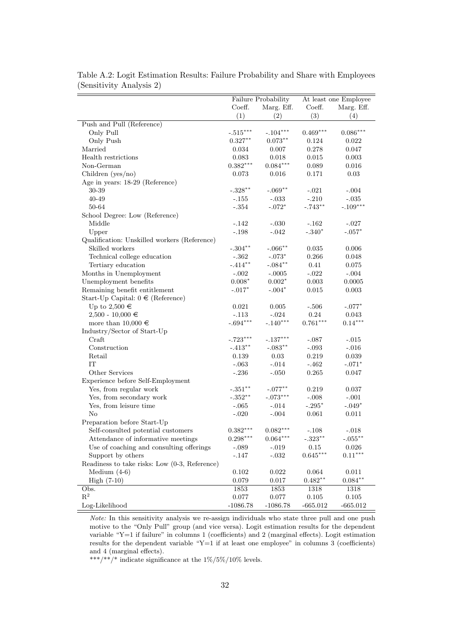|                                               |                        |                        | At least one Employee  |            |  |
|-----------------------------------------------|------------------------|------------------------|------------------------|------------|--|
|                                               | Failure Probability    |                        |                        |            |  |
|                                               | Coeff.<br>(1)          | Marg. Eff.             | Coeff.                 | Marg. Eff. |  |
|                                               |                        | (2)                    | (3)                    | (4)        |  |
| Push and Pull (Reference)                     |                        |                        |                        |            |  |
| Only Pull                                     | $-.515***$             | $-.104***$             | $0.469***$             | $0.086***$ |  |
| Only Push                                     | $0.327***$             | $0.073***$             | 0.124                  | 0.022      |  |
| Married                                       | 0.034                  | 0.007                  | 0.278                  | 0.047      |  |
| Health restrictions                           | 0.083                  | 0.018                  | 0.015                  | 0.003      |  |
| Non-German                                    | $0.382***$             | $0.084***$             | 0.089                  | 0.016      |  |
| Children ( $yes/no)$                          | 0.073                  | 0.016                  | 0.171                  | 0.03       |  |
| Age in years: 18-29 (Reference)               |                        |                        |                        |            |  |
| $30\hbox{-}39$                                | $-.328**$              | $-.069**$              | $-.021$                | $-.004$    |  |
| 40-49                                         | $-.155$                | $-.033$                | $-.210$                | $-.035$    |  |
| 50-64                                         | $-.354$                | $-.072*$               | $-.743**$              | $-.109***$ |  |
| School Degree: Low (Reference)                |                        |                        |                        |            |  |
| Middle                                        | $-.142$                | $-.030$                | $-.162$                | $-.027$    |  |
| Upper                                         | $-.198$                | $-.042$                | $-.340*$               | $-.057*$   |  |
| Qualification: Unskilled workers (Reference)  |                        |                        |                        |            |  |
| Skilled workers                               | $-.304**$              | $-.066$ **             | 0.035                  | 0.006      |  |
| Technical college education                   | $-.362$                | $-.073*$               | 0.266                  | 0.048      |  |
| Tertiary education                            | $-.414**$              | $-.084**$              | 0.41                   | 0.075      |  |
| Months in Unemployment                        | $-.002$                | $-.0005$               | $-.022$                | $-.004$    |  |
| Unemployment benefits                         | $0.008*$               | $0.002*$               | 0.003                  | 0.0005     |  |
| Remaining benefit entitlement                 | $-.017*$               | $-.004*$               | 0.015                  | 0.003      |  |
| Start-Up Capital: $0 \in (Reference)$         |                        |                        |                        |            |  |
| Up to $2,500 \in$                             | $\,0.021\,$            | 0.005                  | $-.506$                | $-.077*$   |  |
| $2,500 - 10,000 \in$                          | $-.113$                | $-.024$                | 0.24                   | 0.043      |  |
| more than $10,000 \in$                        | $-.694***$             | $-.140***$             | $0.761***$             | $0.14***$  |  |
| Industry/Sector of Start-Up                   |                        |                        |                        |            |  |
| Craft                                         | $-.723***$             | $-.137***$             | $-.087$                | $-.015$    |  |
| Construction                                  | $-.413**$              | $-.083**$              | $-.093$                | $-.016$    |  |
| Retail                                        | 0.139                  | 0.03                   | 0.219                  | 0.039      |  |
| IT                                            | $-.063$                | $-.014$                | $-.462$                | $-.071*$   |  |
|                                               |                        |                        |                        |            |  |
| Other Services                                | $-.236$                | $-.050$                | 0.265                  | 0.047      |  |
| Experience before Self-Employment             |                        |                        |                        |            |  |
| Yes, from regular work                        | $-.351^{\ast\ast}$     | $-.077***$             | 0.219                  | 0.037      |  |
| Yes, from secondary work                      | $-.352**$              | $-.073***$             | $-.008$                | $-.001$    |  |
| Yes, from leisure time                        | $-.065$                | $-.014$                | $-.295*$               | $-.049*$   |  |
| $\rm No$                                      | $-.020$                | $-.004$                | 0.061                  | 0.011      |  |
| Preparation before Start-Up                   |                        |                        |                        |            |  |
| Self-consulted potential customers            | $0.382^{\ast\ast\ast}$ | $0.082^{\ast\ast\ast}$ | $-.108$                | $-.018$    |  |
| Attendance of informative meetings            | $0.298***$             | $0.064^{***}\,$        | $-.323**$              | $-.055***$ |  |
| Use of coaching and consulting offerings      | $-.089$                | $-.019$                | 0.15                   | 0.026      |  |
| Support by others                             | $-.147$                | $-.032$                | $0.645^{\ast\ast\ast}$ | $0.11***$  |  |
| Readiness to take risks: Low (0-3, Reference) |                        |                        |                        |            |  |
| Medium $(4-6)$                                | 0.102                  | 0.022                  | 0.064                  | 0.011      |  |
| $High (7-10)$                                 | $0.079\,$              | 0.017                  | $0.482**$              | $0.084**$  |  |
| Obs.                                          | 1853                   | 1853                   | 1318                   | 1318       |  |
| $\mathbf{R}^2$                                | $0.077\,$              | $0.077\,$              | $0.105\,$              | 0.105      |  |
| Log-Likelihood                                | $-1086.78$             | $-1086.78$             | $-665.012$             | $-665.012$ |  |

Table A.2: Logit Estimation Results: Failure Probability and Share with Employees (Sensitivity Analysis 2)

Note: In this sensitivity analysis we re-assign individuals who state three pull and one push motive to the "Only Pull" group (and vice versa). Logit estimation results for the dependent variable "Y=1 if failure" in columns 1 (coefficients) and 2 (marginal effects). Logit estimation results for the dependent variable "Y=1 if at least one employee" in columns 3 (coefficients) and 4 (marginal effects).

\*\*\*/\*\*/\* indicate significance at the  $1\%/5\%/10\%$  levels.